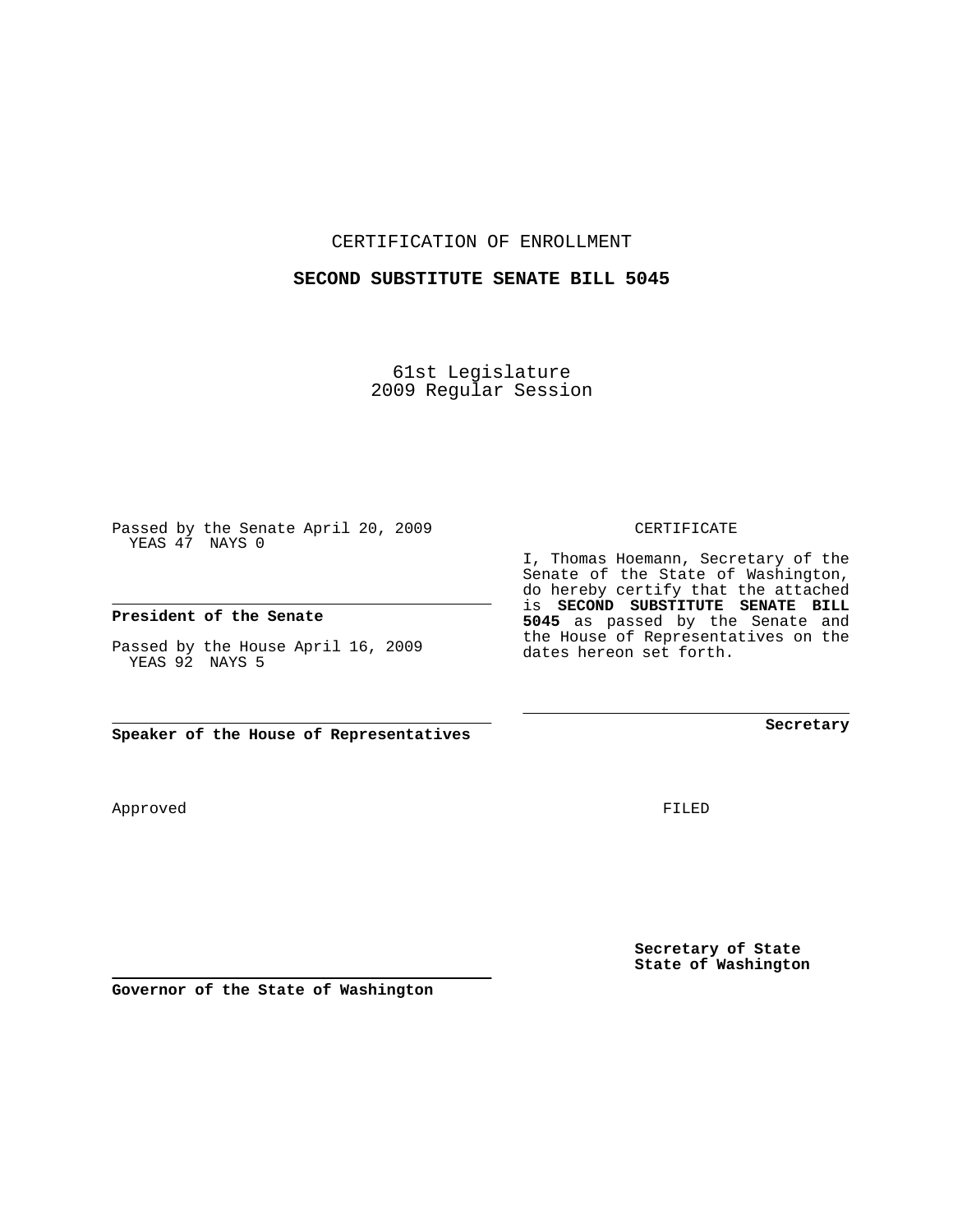CERTIFICATION OF ENROLLMENT

### **SECOND SUBSTITUTE SENATE BILL 5045**

61st Legislature 2009 Regular Session

Passed by the Senate April 20, 2009 YEAS 47 NAYS 0

## **President of the Senate**

Passed by the House April 16, 2009 YEAS 92 NAYS 5

Approved

FILED

**Secretary of State State of Washington**

**Secretary**

CERTIFICATE

I, Thomas Hoemann, Secretary of the Senate of the State of Washington, do hereby certify that the attached is **SECOND SUBSTITUTE SENATE BILL 5045** as passed by the Senate and the House of Representatives on the dates hereon set forth.

**Speaker of the House of Representatives**

**Governor of the State of Washington**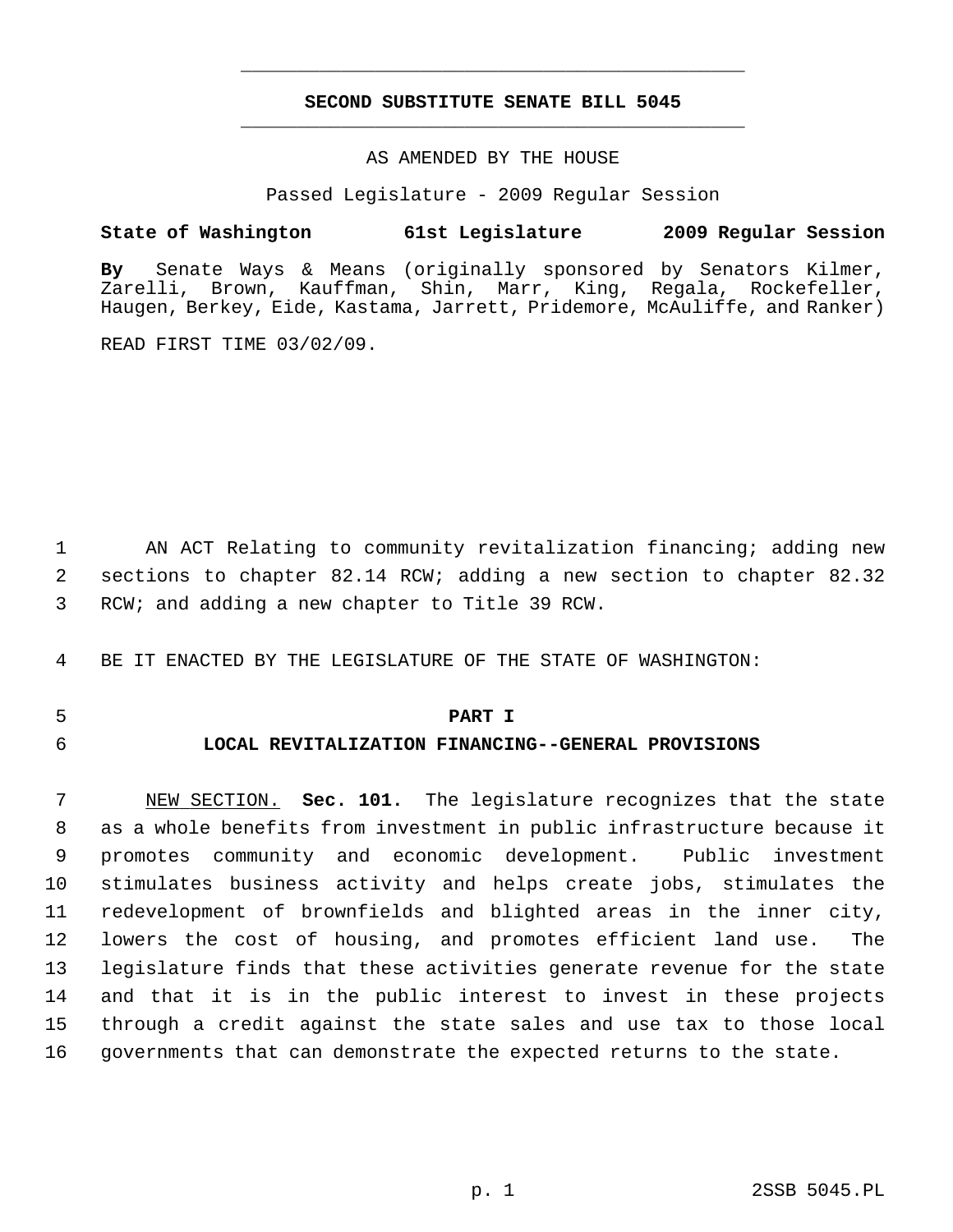## **SECOND SUBSTITUTE SENATE BILL 5045** \_\_\_\_\_\_\_\_\_\_\_\_\_\_\_\_\_\_\_\_\_\_\_\_\_\_\_\_\_\_\_\_\_\_\_\_\_\_\_\_\_\_\_\_\_

\_\_\_\_\_\_\_\_\_\_\_\_\_\_\_\_\_\_\_\_\_\_\_\_\_\_\_\_\_\_\_\_\_\_\_\_\_\_\_\_\_\_\_\_\_

## AS AMENDED BY THE HOUSE

Passed Legislature - 2009 Regular Session

## **State of Washington 61st Legislature 2009 Regular Session**

**By** Senate Ways & Means (originally sponsored by Senators Kilmer, Zarelli, Brown, Kauffman, Shin, Marr, King, Regala, Rockefeller, Haugen, Berkey, Eide, Kastama, Jarrett, Pridemore, McAuliffe, and Ranker)

READ FIRST TIME 03/02/09.

 1 AN ACT Relating to community revitalization financing; adding new 2 sections to chapter 82.14 RCW; adding a new section to chapter 82.32 3 RCW; and adding a new chapter to Title 39 RCW.

4 BE IT ENACTED BY THE LEGISLATURE OF THE STATE OF WASHINGTON:

## 5 **PART I**

## 6 **LOCAL REVITALIZATION FINANCING--GENERAL PROVISIONS**

 7 NEW SECTION. **Sec. 101.** The legislature recognizes that the state 8 as a whole benefits from investment in public infrastructure because it 9 promotes community and economic development. Public investment 10 stimulates business activity and helps create jobs, stimulates the 11 redevelopment of brownfields and blighted areas in the inner city, 12 lowers the cost of housing, and promotes efficient land use. The 13 legislature finds that these activities generate revenue for the state 14 and that it is in the public interest to invest in these projects 15 through a credit against the state sales and use tax to those local 16 governments that can demonstrate the expected returns to the state.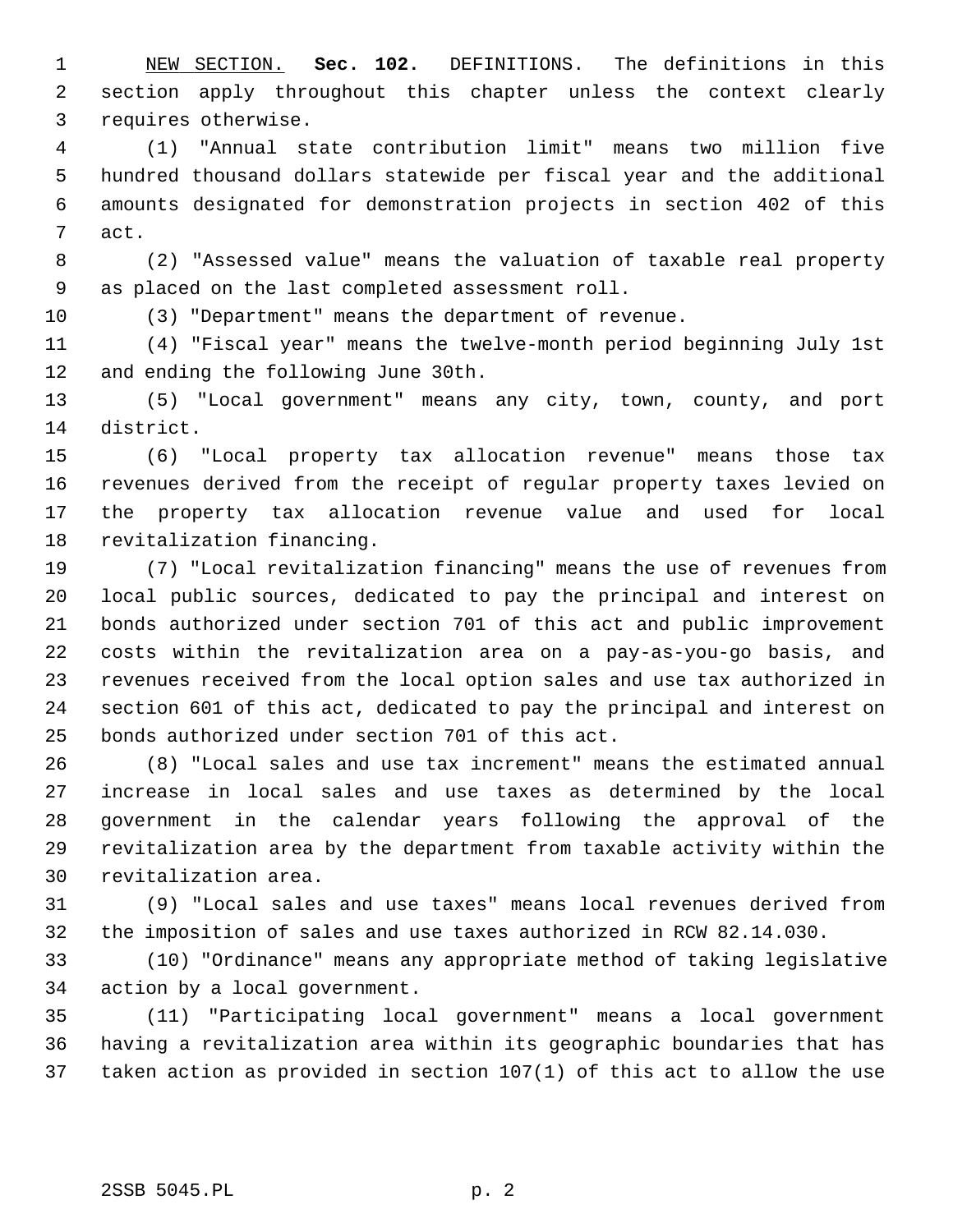1 NEW SECTION. **Sec. 102.** DEFINITIONS. The definitions in this 2 section apply throughout this chapter unless the context clearly 3 requires otherwise.

 4 (1) "Annual state contribution limit" means two million five 5 hundred thousand dollars statewide per fiscal year and the additional 6 amounts designated for demonstration projects in section 402 of this 7 act.

 8 (2) "Assessed value" means the valuation of taxable real property 9 as placed on the last completed assessment roll.

10 (3) "Department" means the department of revenue.

11 (4) "Fiscal year" means the twelve-month period beginning July 1st 12 and ending the following June 30th.

13 (5) "Local government" means any city, town, county, and port 14 district.

15 (6) "Local property tax allocation revenue" means those tax 16 revenues derived from the receipt of regular property taxes levied on 17 the property tax allocation revenue value and used for local 18 revitalization financing.

19 (7) "Local revitalization financing" means the use of revenues from 20 local public sources, dedicated to pay the principal and interest on 21 bonds authorized under section 701 of this act and public improvement 22 costs within the revitalization area on a pay-as-you-go basis, and 23 revenues received from the local option sales and use tax authorized in 24 section 601 of this act, dedicated to pay the principal and interest on 25 bonds authorized under section 701 of this act.

26 (8) "Local sales and use tax increment" means the estimated annual 27 increase in local sales and use taxes as determined by the local 28 government in the calendar years following the approval of the 29 revitalization area by the department from taxable activity within the 30 revitalization area.

31 (9) "Local sales and use taxes" means local revenues derived from 32 the imposition of sales and use taxes authorized in RCW 82.14.030.

33 (10) "Ordinance" means any appropriate method of taking legislative 34 action by a local government.

35 (11) "Participating local government" means a local government 36 having a revitalization area within its geographic boundaries that has 37 taken action as provided in section 107(1) of this act to allow the use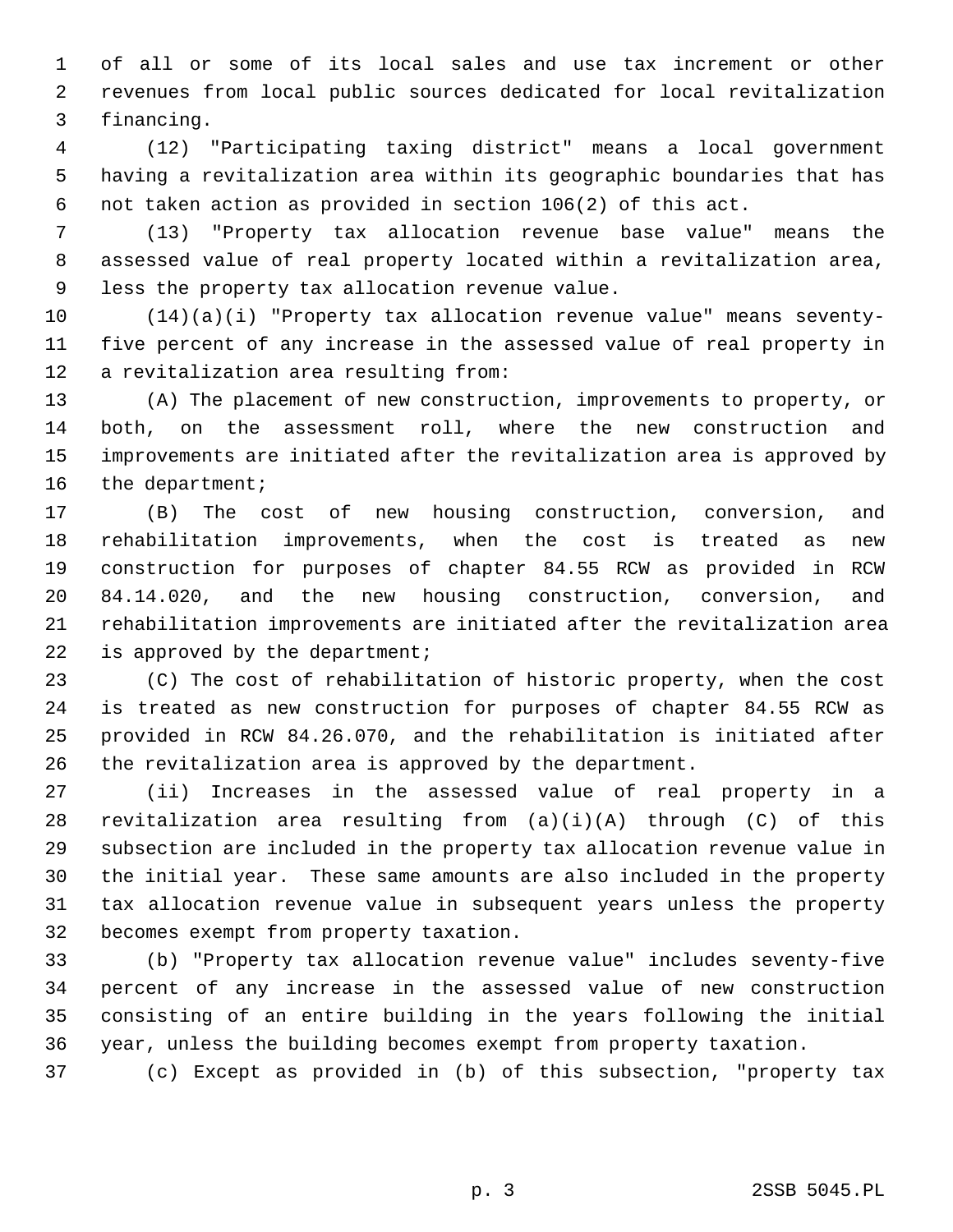1 of all or some of its local sales and use tax increment or other 2 revenues from local public sources dedicated for local revitalization 3 financing.

 4 (12) "Participating taxing district" means a local government 5 having a revitalization area within its geographic boundaries that has 6 not taken action as provided in section 106(2) of this act.

 7 (13) "Property tax allocation revenue base value" means the 8 assessed value of real property located within a revitalization area, 9 less the property tax allocation revenue value.

10 (14)(a)(i) "Property tax allocation revenue value" means seventy-11 five percent of any increase in the assessed value of real property in 12 a revitalization area resulting from:

13 (A) The placement of new construction, improvements to property, or 14 both, on the assessment roll, where the new construction and 15 improvements are initiated after the revitalization area is approved by 16 the department;

17 (B) The cost of new housing construction, conversion, and 18 rehabilitation improvements, when the cost is treated as new 19 construction for purposes of chapter 84.55 RCW as provided in RCW 20 84.14.020, and the new housing construction, conversion, and 21 rehabilitation improvements are initiated after the revitalization area 22 is approved by the department;

23 (C) The cost of rehabilitation of historic property, when the cost 24 is treated as new construction for purposes of chapter 84.55 RCW as 25 provided in RCW 84.26.070, and the rehabilitation is initiated after 26 the revitalization area is approved by the department.

27 (ii) Increases in the assessed value of real property in a 28 revitalization area resulting from (a)(i)(A) through (C) of this 29 subsection are included in the property tax allocation revenue value in 30 the initial year. These same amounts are also included in the property 31 tax allocation revenue value in subsequent years unless the property 32 becomes exempt from property taxation.

33 (b) "Property tax allocation revenue value" includes seventy-five 34 percent of any increase in the assessed value of new construction 35 consisting of an entire building in the years following the initial 36 year, unless the building becomes exempt from property taxation.

37 (c) Except as provided in (b) of this subsection, "property tax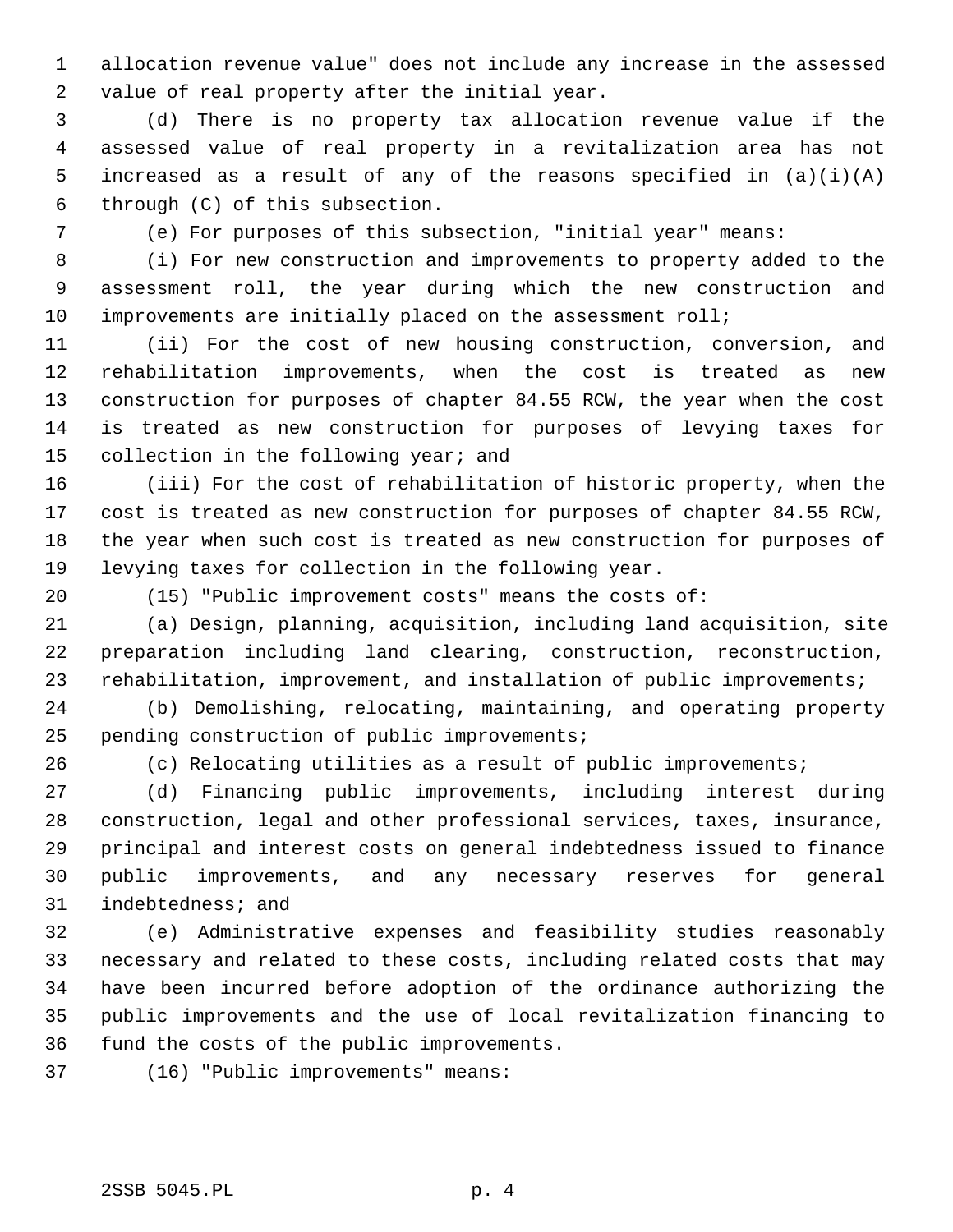1 allocation revenue value" does not include any increase in the assessed 2 value of real property after the initial year.

 3 (d) There is no property tax allocation revenue value if the 4 assessed value of real property in a revitalization area has not 5 increased as a result of any of the reasons specified in  $(a)(i)(A)$ 6 through (C) of this subsection.

7 (e) For purposes of this subsection, "initial year" means:

 8 (i) For new construction and improvements to property added to the 9 assessment roll, the year during which the new construction and 10 improvements are initially placed on the assessment roll;

11 (ii) For the cost of new housing construction, conversion, and 12 rehabilitation improvements, when the cost is treated as new 13 construction for purposes of chapter 84.55 RCW, the year when the cost 14 is treated as new construction for purposes of levying taxes for 15 collection in the following year; and

16 (iii) For the cost of rehabilitation of historic property, when the 17 cost is treated as new construction for purposes of chapter 84.55 RCW, 18 the year when such cost is treated as new construction for purposes of 19 levying taxes for collection in the following year.

20 (15) "Public improvement costs" means the costs of:

21 (a) Design, planning, acquisition, including land acquisition, site 22 preparation including land clearing, construction, reconstruction, 23 rehabilitation, improvement, and installation of public improvements;

24 (b) Demolishing, relocating, maintaining, and operating property 25 pending construction of public improvements;

26 (c) Relocating utilities as a result of public improvements;

27 (d) Financing public improvements, including interest during 28 construction, legal and other professional services, taxes, insurance, 29 principal and interest costs on general indebtedness issued to finance 30 public improvements, and any necessary reserves for general 31 indebtedness; and

32 (e) Administrative expenses and feasibility studies reasonably 33 necessary and related to these costs, including related costs that may 34 have been incurred before adoption of the ordinance authorizing the 35 public improvements and the use of local revitalization financing to 36 fund the costs of the public improvements.

37 (16) "Public improvements" means: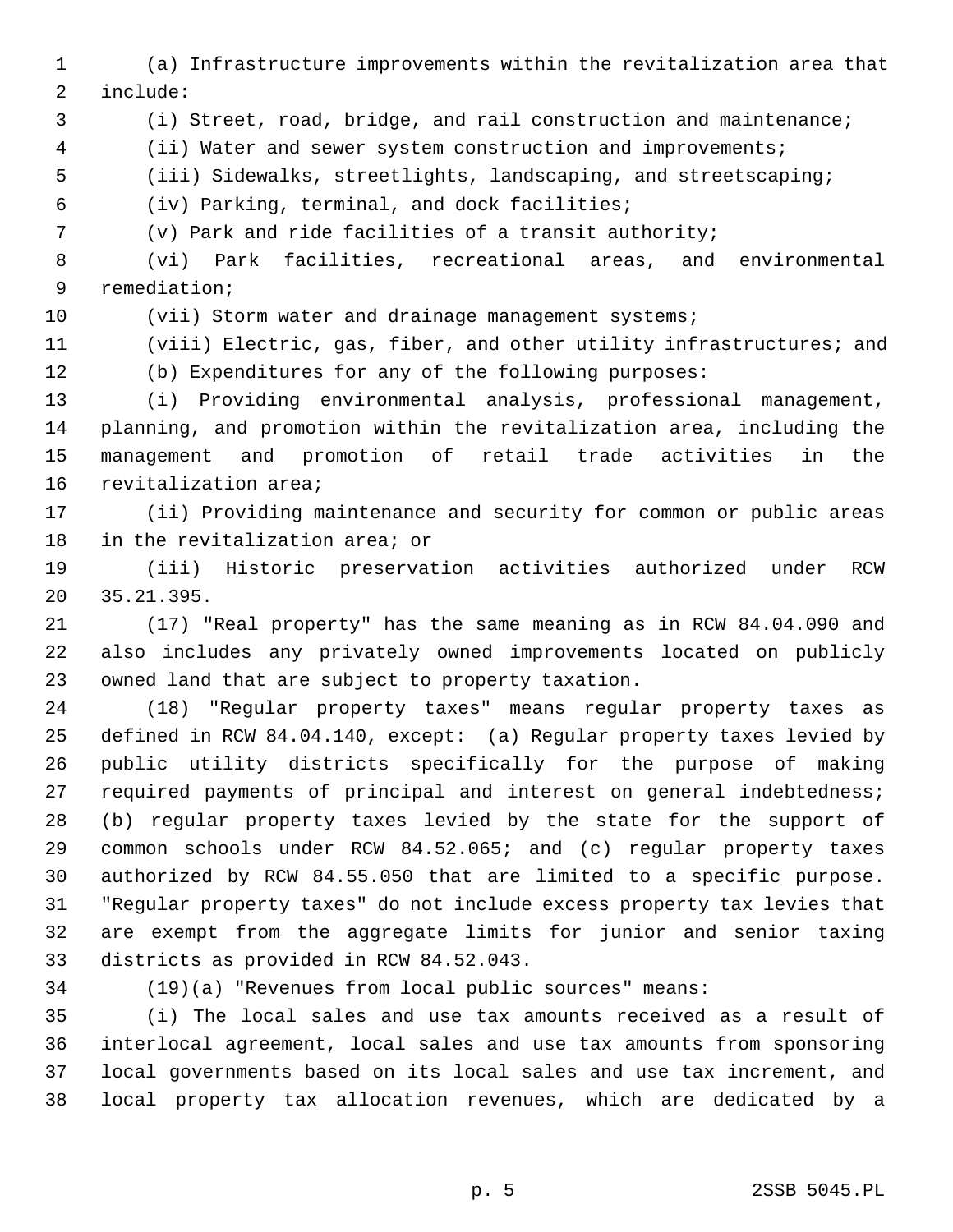- 1 (a) Infrastructure improvements within the revitalization area that 2 include:
- 3 (i) Street, road, bridge, and rail construction and maintenance;
- 4 (ii) Water and sewer system construction and improvements;
- 5 (iii) Sidewalks, streetlights, landscaping, and streetscaping;
- 6 (iv) Parking, terminal, and dock facilities;

7 (v) Park and ride facilities of a transit authority;

 8 (vi) Park facilities, recreational areas, and environmental 9 remediation;

10 (vii) Storm water and drainage management systems;

11 (viii) Electric, gas, fiber, and other utility infrastructures; and

12 (b) Expenditures for any of the following purposes:

13 (i) Providing environmental analysis, professional management, 14 planning, and promotion within the revitalization area, including the 15 management and promotion of retail trade activities in the 16 revitalization area;

17 (ii) Providing maintenance and security for common or public areas 18 in the revitalization area; or

19 (iii) Historic preservation activities authorized under RCW 20 35.21.395.

21 (17) "Real property" has the same meaning as in RCW 84.04.090 and 22 also includes any privately owned improvements located on publicly 23 owned land that are subject to property taxation.

24 (18) "Regular property taxes" means regular property taxes as 25 defined in RCW 84.04.140, except: (a) Regular property taxes levied by 26 public utility districts specifically for the purpose of making 27 required payments of principal and interest on general indebtedness; 28 (b) regular property taxes levied by the state for the support of 29 common schools under RCW 84.52.065; and (c) regular property taxes 30 authorized by RCW 84.55.050 that are limited to a specific purpose. 31 "Regular property taxes" do not include excess property tax levies that 32 are exempt from the aggregate limits for junior and senior taxing 33 districts as provided in RCW 84.52.043.

34 (19)(a) "Revenues from local public sources" means:

35 (i) The local sales and use tax amounts received as a result of 36 interlocal agreement, local sales and use tax amounts from sponsoring 37 local governments based on its local sales and use tax increment, and 38 local property tax allocation revenues, which are dedicated by a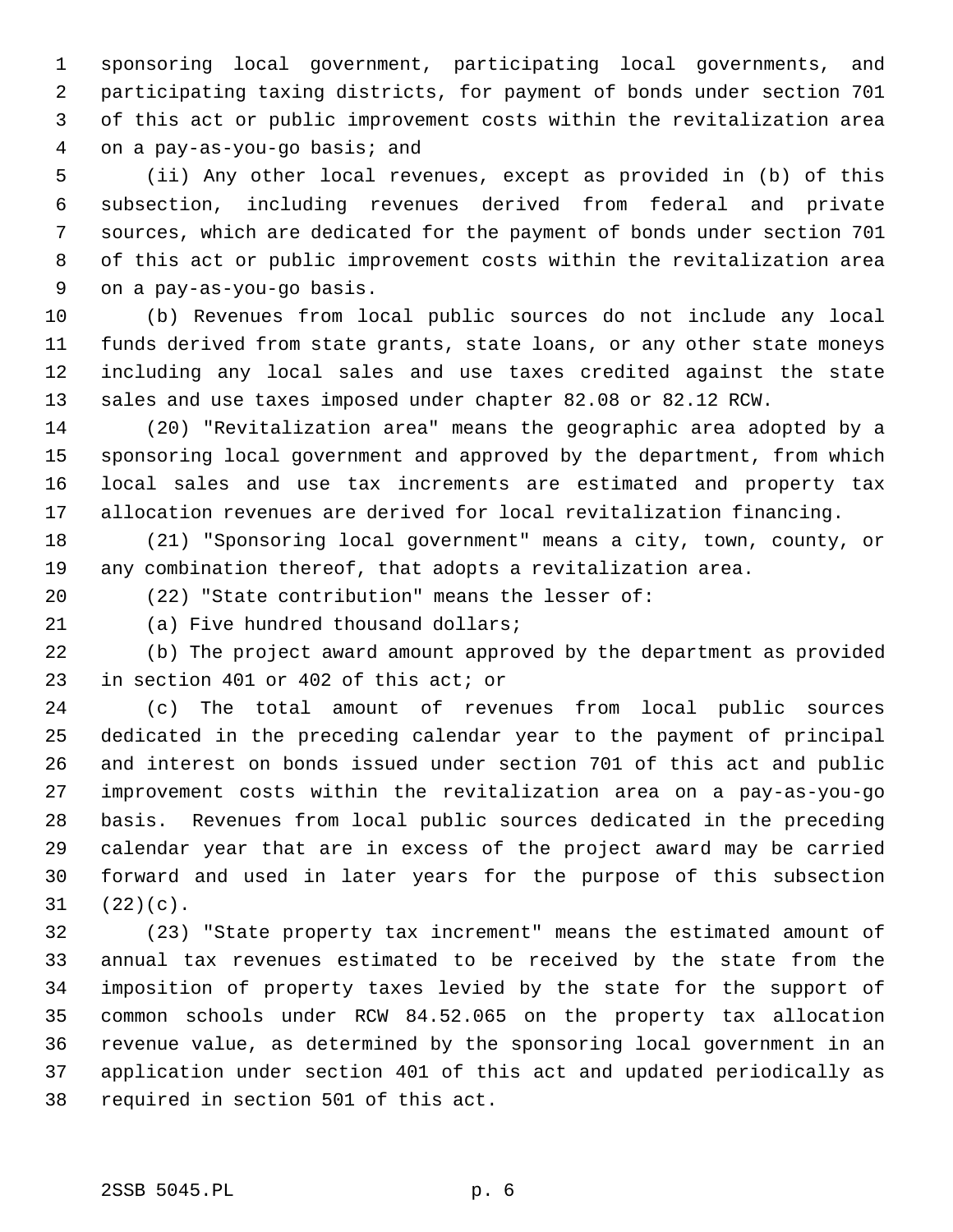1 sponsoring local government, participating local governments, and 2 participating taxing districts, for payment of bonds under section 701 3 of this act or public improvement costs within the revitalization area 4 on a pay-as-you-go basis; and

 5 (ii) Any other local revenues, except as provided in (b) of this 6 subsection, including revenues derived from federal and private 7 sources, which are dedicated for the payment of bonds under section 701 8 of this act or public improvement costs within the revitalization area 9 on a pay-as-you-go basis.

10 (b) Revenues from local public sources do not include any local 11 funds derived from state grants, state loans, or any other state moneys 12 including any local sales and use taxes credited against the state 13 sales and use taxes imposed under chapter 82.08 or 82.12 RCW.

14 (20) "Revitalization area" means the geographic area adopted by a 15 sponsoring local government and approved by the department, from which 16 local sales and use tax increments are estimated and property tax 17 allocation revenues are derived for local revitalization financing.

18 (21) "Sponsoring local government" means a city, town, county, or 19 any combination thereof, that adopts a revitalization area.

20 (22) "State contribution" means the lesser of:

21 (a) Five hundred thousand dollars;

22 (b) The project award amount approved by the department as provided 23 in section 401 or 402 of this act; or

24 (c) The total amount of revenues from local public sources 25 dedicated in the preceding calendar year to the payment of principal 26 and interest on bonds issued under section 701 of this act and public 27 improvement costs within the revitalization area on a pay-as-you-go 28 basis. Revenues from local public sources dedicated in the preceding 29 calendar year that are in excess of the project award may be carried 30 forward and used in later years for the purpose of this subsection 31 (22)(c).

32 (23) "State property tax increment" means the estimated amount of 33 annual tax revenues estimated to be received by the state from the 34 imposition of property taxes levied by the state for the support of 35 common schools under RCW 84.52.065 on the property tax allocation 36 revenue value, as determined by the sponsoring local government in an 37 application under section 401 of this act and updated periodically as 38 required in section 501 of this act.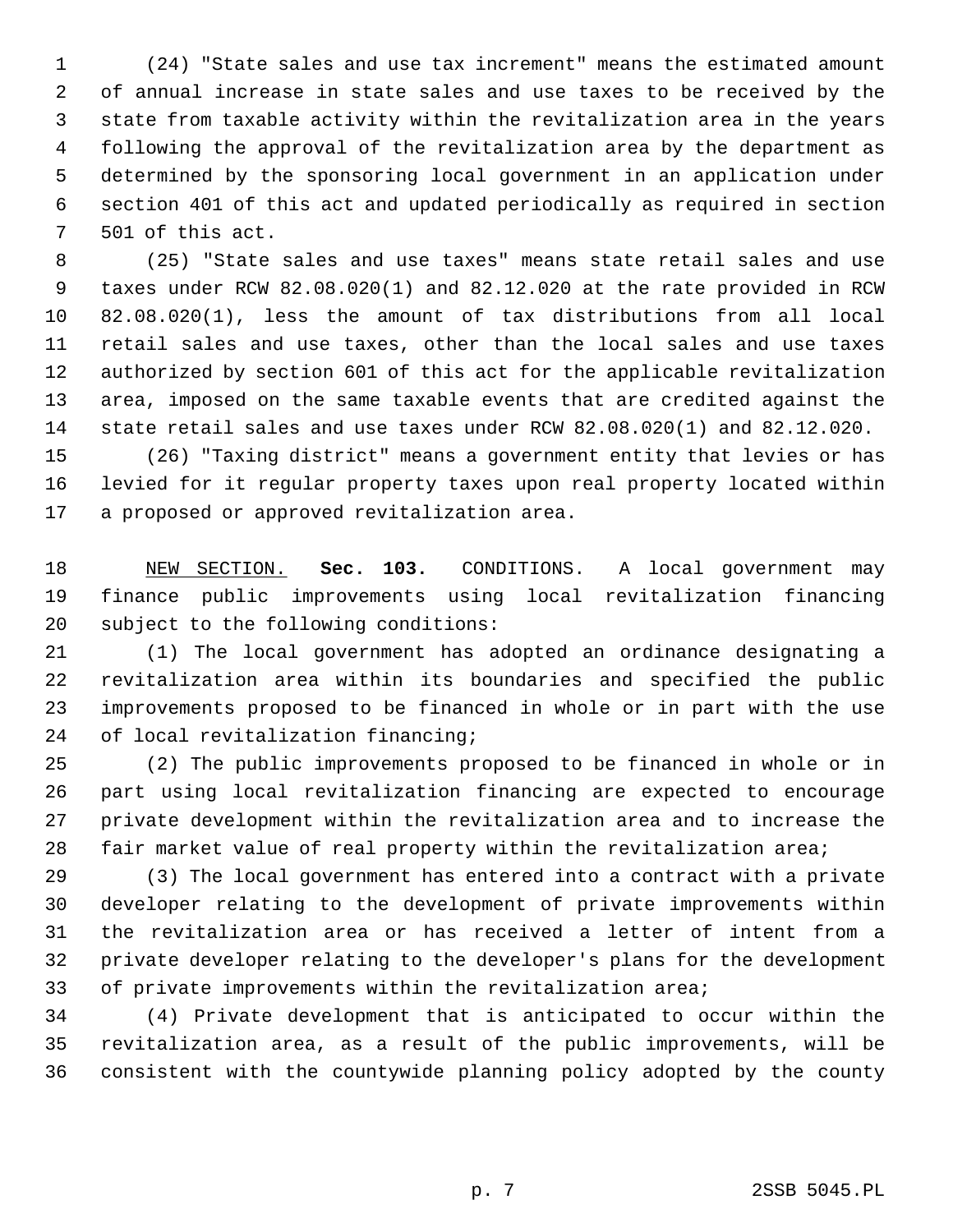1 (24) "State sales and use tax increment" means the estimated amount 2 of annual increase in state sales and use taxes to be received by the 3 state from taxable activity within the revitalization area in the years 4 following the approval of the revitalization area by the department as 5 determined by the sponsoring local government in an application under 6 section 401 of this act and updated periodically as required in section 7 501 of this act.

 8 (25) "State sales and use taxes" means state retail sales and use 9 taxes under RCW 82.08.020(1) and 82.12.020 at the rate provided in RCW 10 82.08.020(1), less the amount of tax distributions from all local 11 retail sales and use taxes, other than the local sales and use taxes 12 authorized by section 601 of this act for the applicable revitalization 13 area, imposed on the same taxable events that are credited against the 14 state retail sales and use taxes under RCW 82.08.020(1) and 82.12.020.

15 (26) "Taxing district" means a government entity that levies or has 16 levied for it regular property taxes upon real property located within 17 a proposed or approved revitalization area.

18 NEW SECTION. **Sec. 103.** CONDITIONS. A local government may 19 finance public improvements using local revitalization financing 20 subject to the following conditions:

21 (1) The local government has adopted an ordinance designating a 22 revitalization area within its boundaries and specified the public 23 improvements proposed to be financed in whole or in part with the use 24 of local revitalization financing;

25 (2) The public improvements proposed to be financed in whole or in 26 part using local revitalization financing are expected to encourage 27 private development within the revitalization area and to increase the 28 fair market value of real property within the revitalization area;

29 (3) The local government has entered into a contract with a private 30 developer relating to the development of private improvements within 31 the revitalization area or has received a letter of intent from a 32 private developer relating to the developer's plans for the development 33 of private improvements within the revitalization area;

34 (4) Private development that is anticipated to occur within the 35 revitalization area, as a result of the public improvements, will be 36 consistent with the countywide planning policy adopted by the county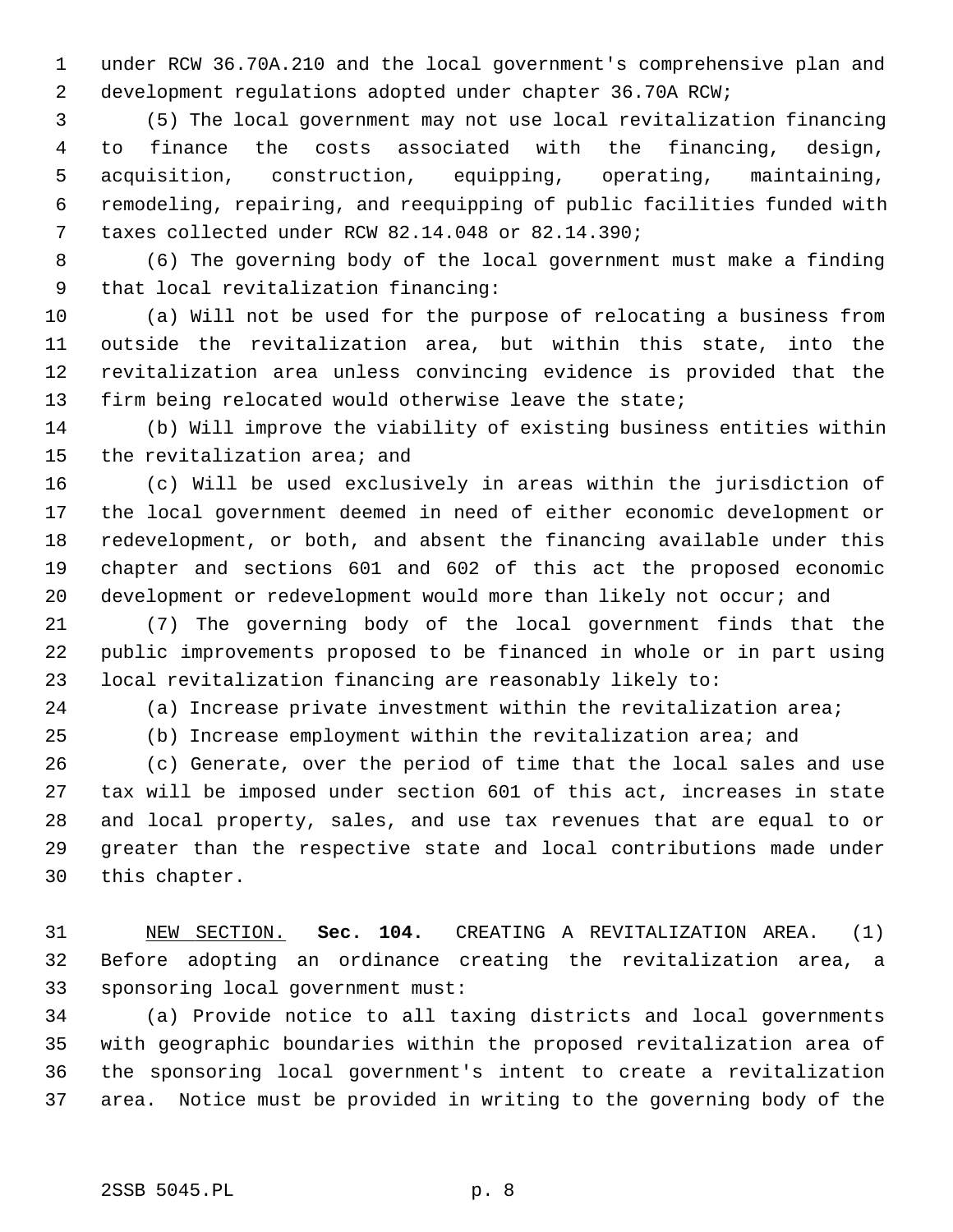1 under RCW 36.70A.210 and the local government's comprehensive plan and 2 development regulations adopted under chapter 36.70A RCW;

 3 (5) The local government may not use local revitalization financing 4 to finance the costs associated with the financing, design, 5 acquisition, construction, equipping, operating, maintaining, 6 remodeling, repairing, and reequipping of public facilities funded with 7 taxes collected under RCW 82.14.048 or 82.14.390;

 8 (6) The governing body of the local government must make a finding 9 that local revitalization financing:

10 (a) Will not be used for the purpose of relocating a business from 11 outside the revitalization area, but within this state, into the 12 revitalization area unless convincing evidence is provided that the 13 firm being relocated would otherwise leave the state;

14 (b) Will improve the viability of existing business entities within 15 the revitalization area; and

16 (c) Will be used exclusively in areas within the jurisdiction of 17 the local government deemed in need of either economic development or 18 redevelopment, or both, and absent the financing available under this 19 chapter and sections 601 and 602 of this act the proposed economic 20 development or redevelopment would more than likely not occur; and

21 (7) The governing body of the local government finds that the 22 public improvements proposed to be financed in whole or in part using 23 local revitalization financing are reasonably likely to:

24 (a) Increase private investment within the revitalization area;

25 (b) Increase employment within the revitalization area; and

26 (c) Generate, over the period of time that the local sales and use 27 tax will be imposed under section 601 of this act, increases in state 28 and local property, sales, and use tax revenues that are equal to or 29 greater than the respective state and local contributions made under 30 this chapter.

31 NEW SECTION. **Sec. 104.** CREATING A REVITALIZATION AREA. (1) 32 Before adopting an ordinance creating the revitalization area, a 33 sponsoring local government must:

34 (a) Provide notice to all taxing districts and local governments 35 with geographic boundaries within the proposed revitalization area of 36 the sponsoring local government's intent to create a revitalization 37 area. Notice must be provided in writing to the governing body of the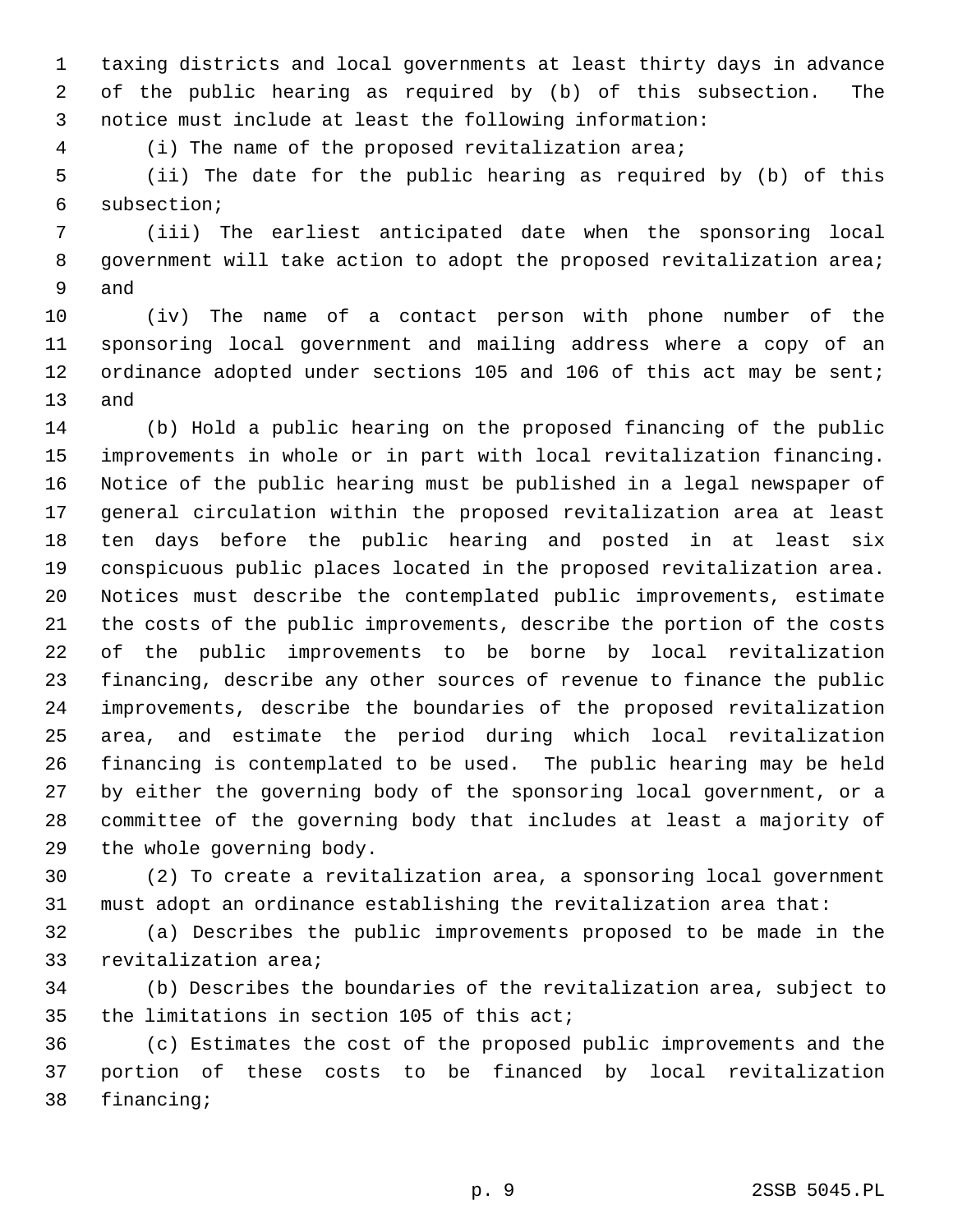1 taxing districts and local governments at least thirty days in advance 2 of the public hearing as required by (b) of this subsection. The 3 notice must include at least the following information:

4 (i) The name of the proposed revitalization area;

 5 (ii) The date for the public hearing as required by (b) of this 6 subsection;

 7 (iii) The earliest anticipated date when the sponsoring local 8 government will take action to adopt the proposed revitalization area; 9 and

10 (iv) The name of a contact person with phone number of the 11 sponsoring local government and mailing address where a copy of an 12 ordinance adopted under sections 105 and 106 of this act may be sent; 13 and

14 (b) Hold a public hearing on the proposed financing of the public 15 improvements in whole or in part with local revitalization financing. 16 Notice of the public hearing must be published in a legal newspaper of 17 general circulation within the proposed revitalization area at least 18 ten days before the public hearing and posted in at least six 19 conspicuous public places located in the proposed revitalization area. 20 Notices must describe the contemplated public improvements, estimate 21 the costs of the public improvements, describe the portion of the costs 22 of the public improvements to be borne by local revitalization 23 financing, describe any other sources of revenue to finance the public 24 improvements, describe the boundaries of the proposed revitalization 25 area, and estimate the period during which local revitalization 26 financing is contemplated to be used. The public hearing may be held 27 by either the governing body of the sponsoring local government, or a 28 committee of the governing body that includes at least a majority of 29 the whole governing body.

30 (2) To create a revitalization area, a sponsoring local government 31 must adopt an ordinance establishing the revitalization area that:

32 (a) Describes the public improvements proposed to be made in the 33 revitalization area;

34 (b) Describes the boundaries of the revitalization area, subject to 35 the limitations in section 105 of this act;

36 (c) Estimates the cost of the proposed public improvements and the 37 portion of these costs to be financed by local revitalization 38 financing;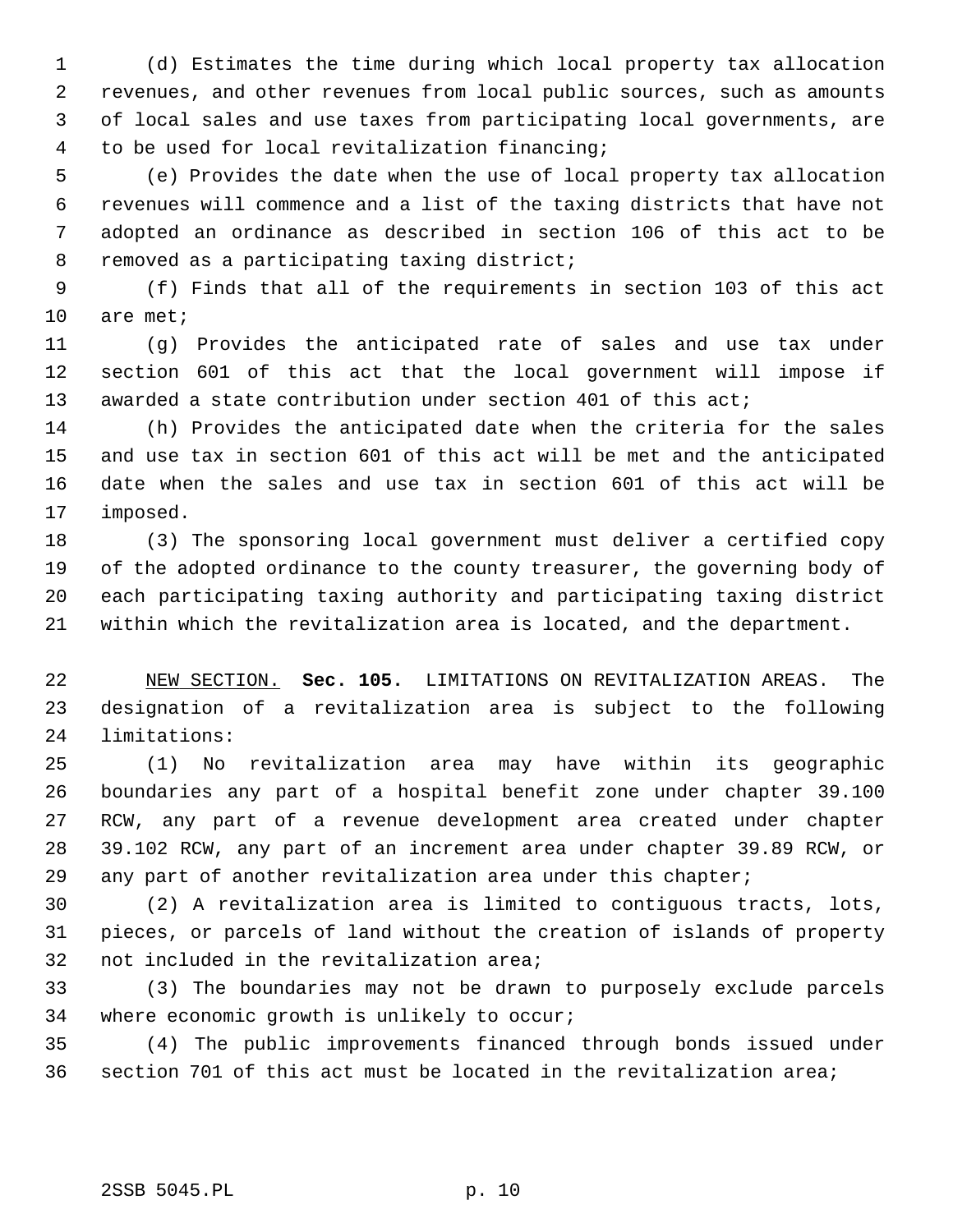1 (d) Estimates the time during which local property tax allocation 2 revenues, and other revenues from local public sources, such as amounts 3 of local sales and use taxes from participating local governments, are 4 to be used for local revitalization financing;

 5 (e) Provides the date when the use of local property tax allocation 6 revenues will commence and a list of the taxing districts that have not 7 adopted an ordinance as described in section 106 of this act to be 8 removed as a participating taxing district;

 9 (f) Finds that all of the requirements in section 103 of this act 10 are met;

11 (g) Provides the anticipated rate of sales and use tax under 12 section 601 of this act that the local government will impose if 13 awarded a state contribution under section 401 of this act;

14 (h) Provides the anticipated date when the criteria for the sales 15 and use tax in section 601 of this act will be met and the anticipated 16 date when the sales and use tax in section 601 of this act will be 17 imposed.

18 (3) The sponsoring local government must deliver a certified copy 19 of the adopted ordinance to the county treasurer, the governing body of 20 each participating taxing authority and participating taxing district 21 within which the revitalization area is located, and the department.

22 NEW SECTION. **Sec. 105.** LIMITATIONS ON REVITALIZATION AREAS. The 23 designation of a revitalization area is subject to the following 24 limitations:

25 (1) No revitalization area may have within its geographic 26 boundaries any part of a hospital benefit zone under chapter 39.100 27 RCW, any part of a revenue development area created under chapter 28 39.102 RCW, any part of an increment area under chapter 39.89 RCW, or 29 any part of another revitalization area under this chapter;

30 (2) A revitalization area is limited to contiguous tracts, lots, 31 pieces, or parcels of land without the creation of islands of property 32 not included in the revitalization area;

33 (3) The boundaries may not be drawn to purposely exclude parcels 34 where economic growth is unlikely to occur;

35 (4) The public improvements financed through bonds issued under 36 section 701 of this act must be located in the revitalization area;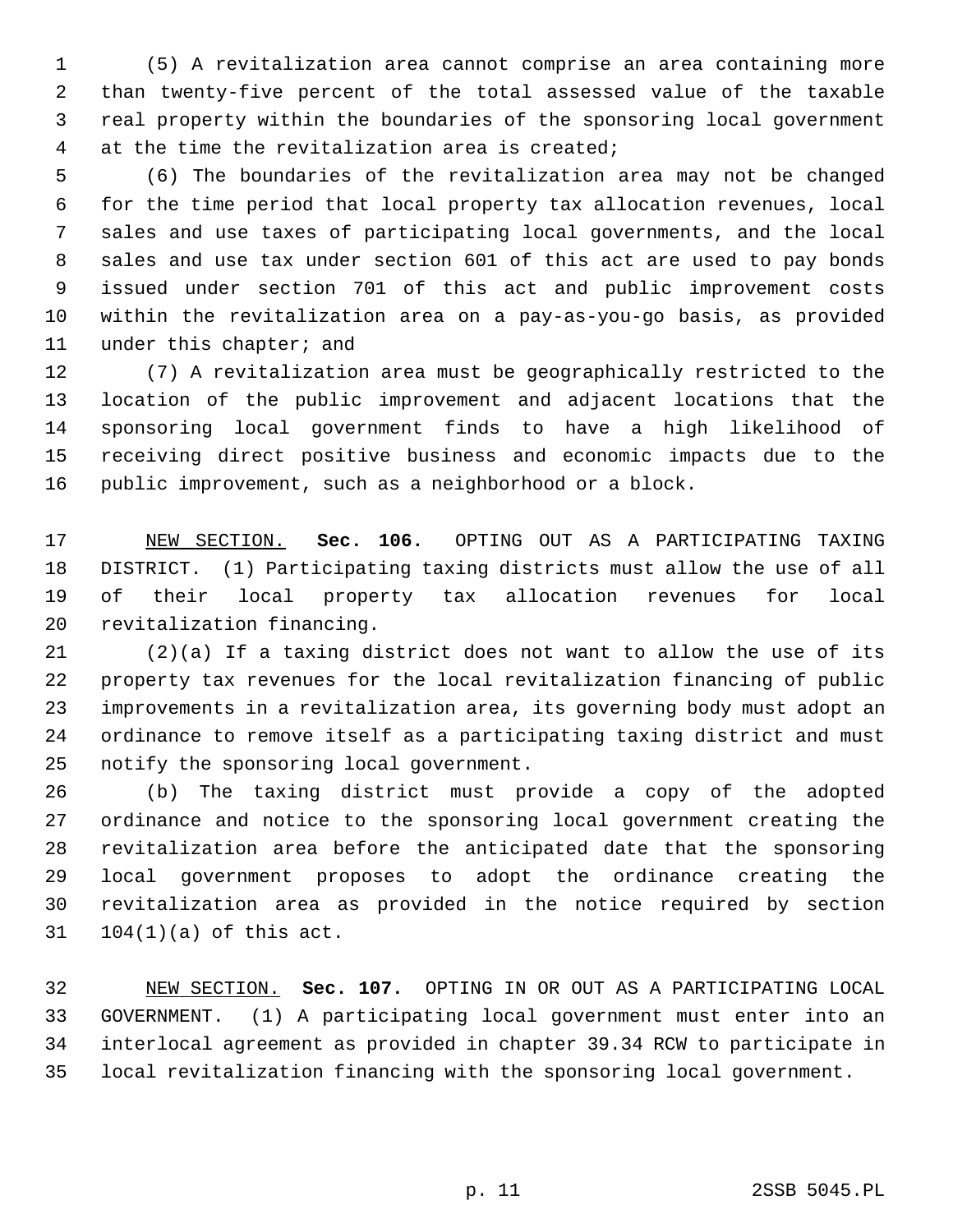1 (5) A revitalization area cannot comprise an area containing more 2 than twenty-five percent of the total assessed value of the taxable 3 real property within the boundaries of the sponsoring local government 4 at the time the revitalization area is created;

 5 (6) The boundaries of the revitalization area may not be changed 6 for the time period that local property tax allocation revenues, local 7 sales and use taxes of participating local governments, and the local 8 sales and use tax under section 601 of this act are used to pay bonds 9 issued under section 701 of this act and public improvement costs 10 within the revitalization area on a pay-as-you-go basis, as provided 11 under this chapter; and

12 (7) A revitalization area must be geographically restricted to the 13 location of the public improvement and adjacent locations that the 14 sponsoring local government finds to have a high likelihood of 15 receiving direct positive business and economic impacts due to the 16 public improvement, such as a neighborhood or a block.

17 NEW SECTION. **Sec. 106.** OPTING OUT AS A PARTICIPATING TAXING 18 DISTRICT. (1) Participating taxing districts must allow the use of all 19 of their local property tax allocation revenues for local 20 revitalization financing.

21 (2)(a) If a taxing district does not want to allow the use of its 22 property tax revenues for the local revitalization financing of public 23 improvements in a revitalization area, its governing body must adopt an 24 ordinance to remove itself as a participating taxing district and must 25 notify the sponsoring local government.

26 (b) The taxing district must provide a copy of the adopted 27 ordinance and notice to the sponsoring local government creating the 28 revitalization area before the anticipated date that the sponsoring 29 local government proposes to adopt the ordinance creating the 30 revitalization area as provided in the notice required by section 31 104(1)(a) of this act.

32 NEW SECTION. **Sec. 107.** OPTING IN OR OUT AS A PARTICIPATING LOCAL 33 GOVERNMENT. (1) A participating local government must enter into an 34 interlocal agreement as provided in chapter 39.34 RCW to participate in 35 local revitalization financing with the sponsoring local government.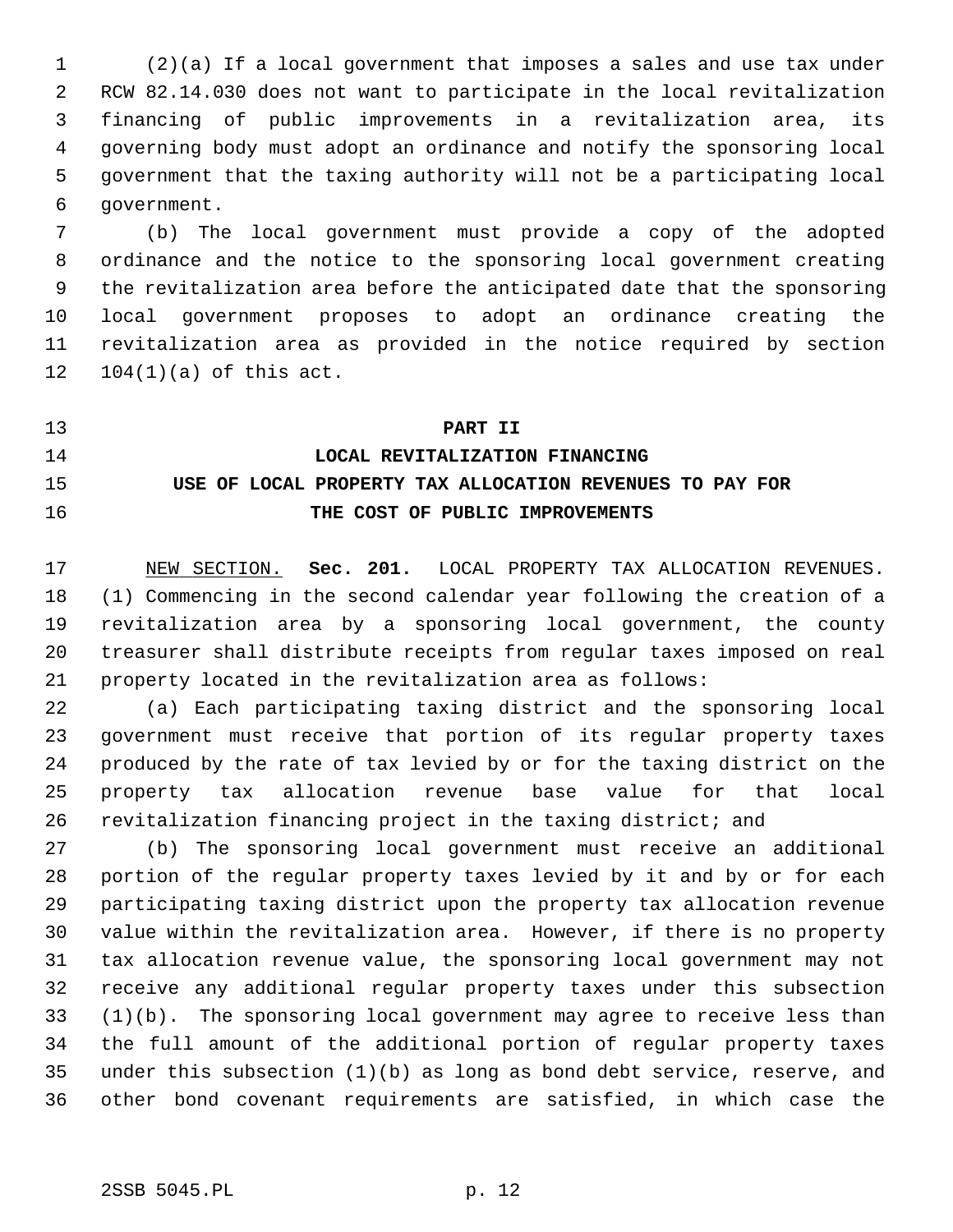1 (2)(a) If a local government that imposes a sales and use tax under 2 RCW 82.14.030 does not want to participate in the local revitalization 3 financing of public improvements in a revitalization area, its 4 governing body must adopt an ordinance and notify the sponsoring local 5 government that the taxing authority will not be a participating local 6 government.

 7 (b) The local government must provide a copy of the adopted 8 ordinance and the notice to the sponsoring local government creating 9 the revitalization area before the anticipated date that the sponsoring 10 local government proposes to adopt an ordinance creating the 11 revitalization area as provided in the notice required by section 12 104(1)(a) of this act.

## 13 **PART II**

# 14 **LOCAL REVITALIZATION FINANCING** 15 **USE OF LOCAL PROPERTY TAX ALLOCATION REVENUES TO PAY FOR** 16 **THE COST OF PUBLIC IMPROVEMENTS**

17 NEW SECTION. **Sec. 201.** LOCAL PROPERTY TAX ALLOCATION REVENUES. 18 (1) Commencing in the second calendar year following the creation of a 19 revitalization area by a sponsoring local government, the county 20 treasurer shall distribute receipts from regular taxes imposed on real 21 property located in the revitalization area as follows:

22 (a) Each participating taxing district and the sponsoring local 23 government must receive that portion of its regular property taxes 24 produced by the rate of tax levied by or for the taxing district on the 25 property tax allocation revenue base value for that local 26 revitalization financing project in the taxing district; and

27 (b) The sponsoring local government must receive an additional 28 portion of the regular property taxes levied by it and by or for each 29 participating taxing district upon the property tax allocation revenue 30 value within the revitalization area. However, if there is no property 31 tax allocation revenue value, the sponsoring local government may not 32 receive any additional regular property taxes under this subsection 33 (1)(b). The sponsoring local government may agree to receive less than 34 the full amount of the additional portion of regular property taxes 35 under this subsection (1)(b) as long as bond debt service, reserve, and 36 other bond covenant requirements are satisfied, in which case the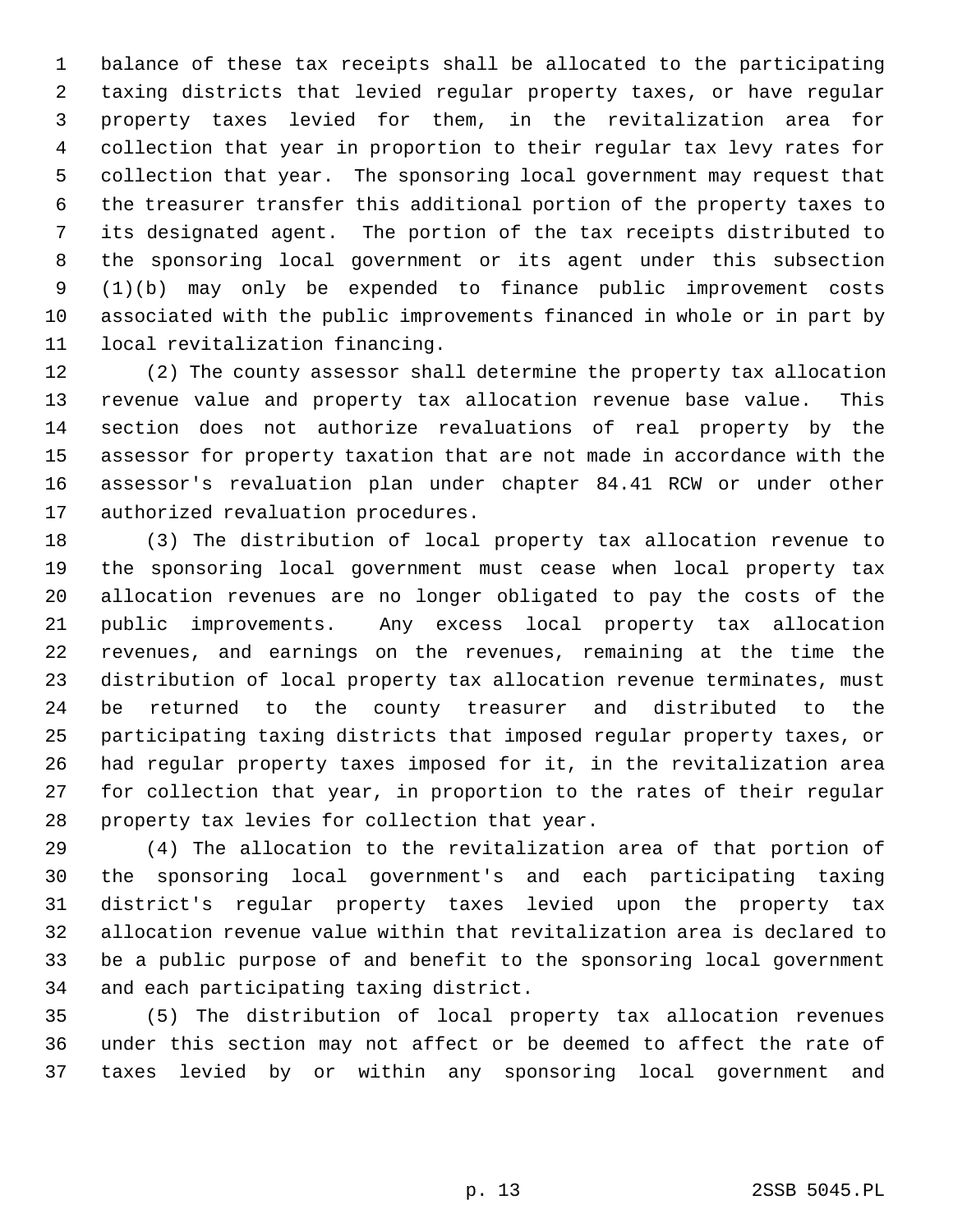1 balance of these tax receipts shall be allocated to the participating 2 taxing districts that levied regular property taxes, or have regular 3 property taxes levied for them, in the revitalization area for 4 collection that year in proportion to their regular tax levy rates for 5 collection that year. The sponsoring local government may request that 6 the treasurer transfer this additional portion of the property taxes to 7 its designated agent. The portion of the tax receipts distributed to 8 the sponsoring local government or its agent under this subsection 9 (1)(b) may only be expended to finance public improvement costs 10 associated with the public improvements financed in whole or in part by 11 local revitalization financing.

12 (2) The county assessor shall determine the property tax allocation 13 revenue value and property tax allocation revenue base value. This 14 section does not authorize revaluations of real property by the 15 assessor for property taxation that are not made in accordance with the 16 assessor's revaluation plan under chapter 84.41 RCW or under other 17 authorized revaluation procedures.

18 (3) The distribution of local property tax allocation revenue to 19 the sponsoring local government must cease when local property tax 20 allocation revenues are no longer obligated to pay the costs of the 21 public improvements. Any excess local property tax allocation 22 revenues, and earnings on the revenues, remaining at the time the 23 distribution of local property tax allocation revenue terminates, must 24 be returned to the county treasurer and distributed to the 25 participating taxing districts that imposed regular property taxes, or 26 had regular property taxes imposed for it, in the revitalization area 27 for collection that year, in proportion to the rates of their regular 28 property tax levies for collection that year.

29 (4) The allocation to the revitalization area of that portion of 30 the sponsoring local government's and each participating taxing 31 district's regular property taxes levied upon the property tax 32 allocation revenue value within that revitalization area is declared to 33 be a public purpose of and benefit to the sponsoring local government 34 and each participating taxing district.

35 (5) The distribution of local property tax allocation revenues 36 under this section may not affect or be deemed to affect the rate of 37 taxes levied by or within any sponsoring local government and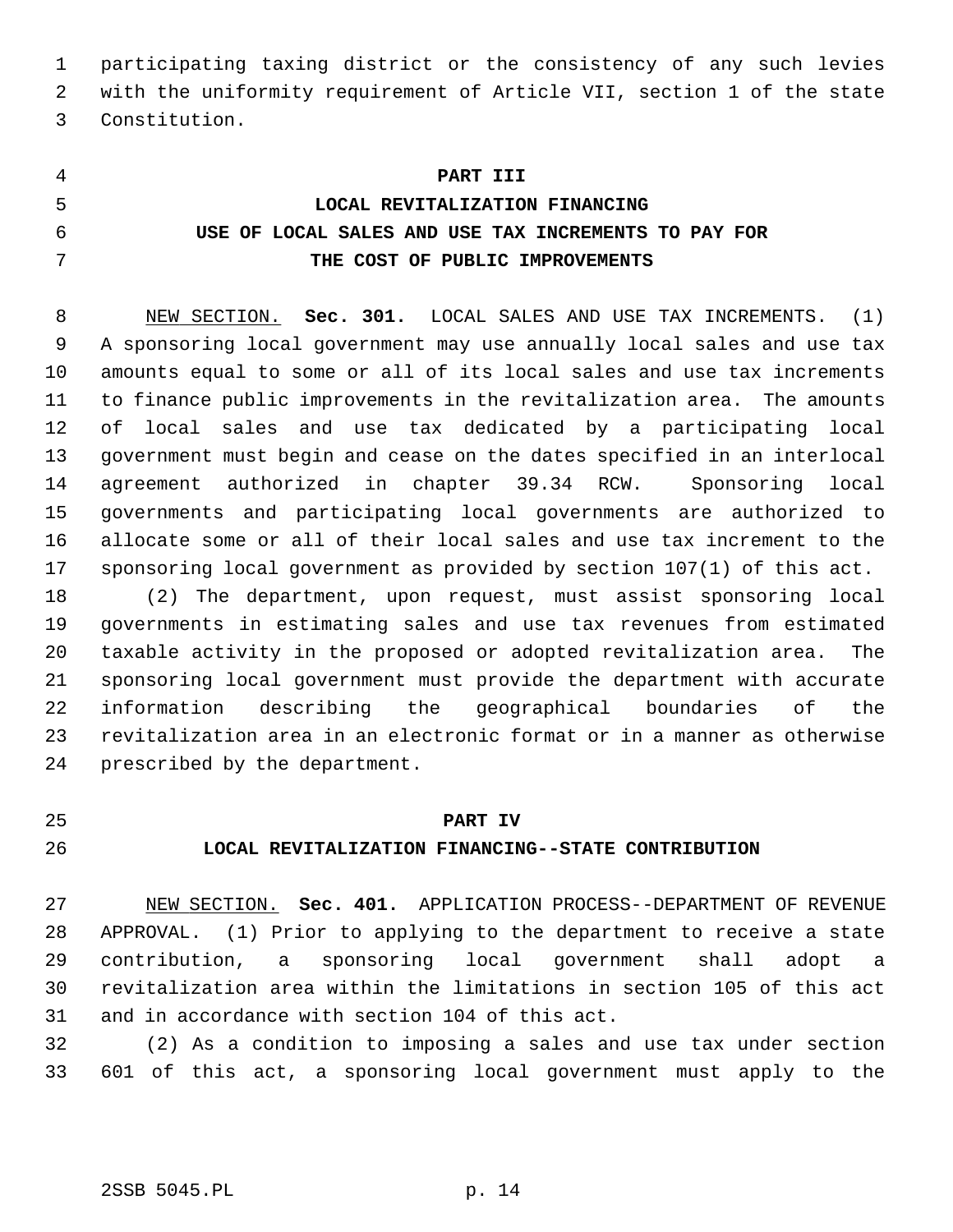1 participating taxing district or the consistency of any such levies 2 with the uniformity requirement of Article VII, section 1 of the state 3 Constitution.

 **PART III LOCAL REVITALIZATION FINANCING USE OF LOCAL SALES AND USE TAX INCREMENTS TO PAY FOR THE COST OF PUBLIC IMPROVEMENTS**

 8 NEW SECTION. **Sec. 301.** LOCAL SALES AND USE TAX INCREMENTS. (1) 9 A sponsoring local government may use annually local sales and use tax 10 amounts equal to some or all of its local sales and use tax increments 11 to finance public improvements in the revitalization area. The amounts 12 of local sales and use tax dedicated by a participating local 13 government must begin and cease on the dates specified in an interlocal 14 agreement authorized in chapter 39.34 RCW. Sponsoring local 15 governments and participating local governments are authorized to 16 allocate some or all of their local sales and use tax increment to the 17 sponsoring local government as provided by section 107(1) of this act.

18 (2) The department, upon request, must assist sponsoring local 19 governments in estimating sales and use tax revenues from estimated 20 taxable activity in the proposed or adopted revitalization area. The 21 sponsoring local government must provide the department with accurate 22 information describing the geographical boundaries of the 23 revitalization area in an electronic format or in a manner as otherwise 24 prescribed by the department.

## 25 **PART IV**

## 26 **LOCAL REVITALIZATION FINANCING--STATE CONTRIBUTION**

27 NEW SECTION. **Sec. 401.** APPLICATION PROCESS--DEPARTMENT OF REVENUE 28 APPROVAL. (1) Prior to applying to the department to receive a state 29 contribution, a sponsoring local government shall adopt a 30 revitalization area within the limitations in section 105 of this act 31 and in accordance with section 104 of this act.

32 (2) As a condition to imposing a sales and use tax under section 33 601 of this act, a sponsoring local government must apply to the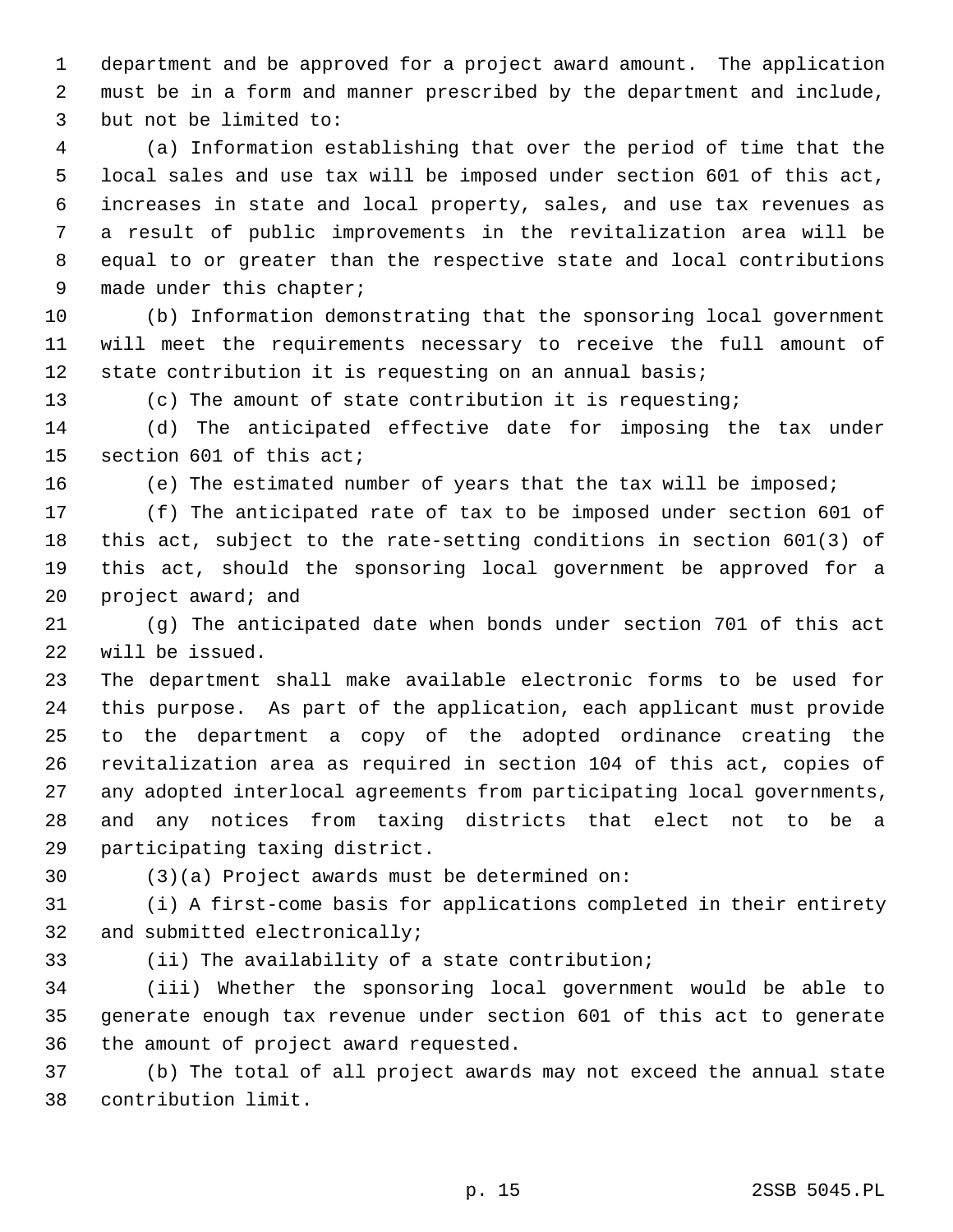1 department and be approved for a project award amount. The application 2 must be in a form and manner prescribed by the department and include, 3 but not be limited to:

 4 (a) Information establishing that over the period of time that the 5 local sales and use tax will be imposed under section 601 of this act, 6 increases in state and local property, sales, and use tax revenues as 7 a result of public improvements in the revitalization area will be 8 equal to or greater than the respective state and local contributions 9 made under this chapter;

10 (b) Information demonstrating that the sponsoring local government 11 will meet the requirements necessary to receive the full amount of 12 state contribution it is requesting on an annual basis;

13 (c) The amount of state contribution it is requesting;

14 (d) The anticipated effective date for imposing the tax under 15 section 601 of this act;

16 (e) The estimated number of years that the tax will be imposed;

17 (f) The anticipated rate of tax to be imposed under section 601 of 18 this act, subject to the rate-setting conditions in section 601(3) of 19 this act, should the sponsoring local government be approved for a 20 project award; and

21 (g) The anticipated date when bonds under section 701 of this act 22 will be issued.

23 The department shall make available electronic forms to be used for 24 this purpose. As part of the application, each applicant must provide 25 to the department a copy of the adopted ordinance creating the 26 revitalization area as required in section 104 of this act, copies of 27 any adopted interlocal agreements from participating local governments, 28 and any notices from taxing districts that elect not to be a 29 participating taxing district.

30 (3)(a) Project awards must be determined on:

31 (i) A first-come basis for applications completed in their entirety 32 and submitted electronically;

33 (ii) The availability of a state contribution;

34 (iii) Whether the sponsoring local government would be able to 35 generate enough tax revenue under section 601 of this act to generate 36 the amount of project award requested.

37 (b) The total of all project awards may not exceed the annual state 38 contribution limit.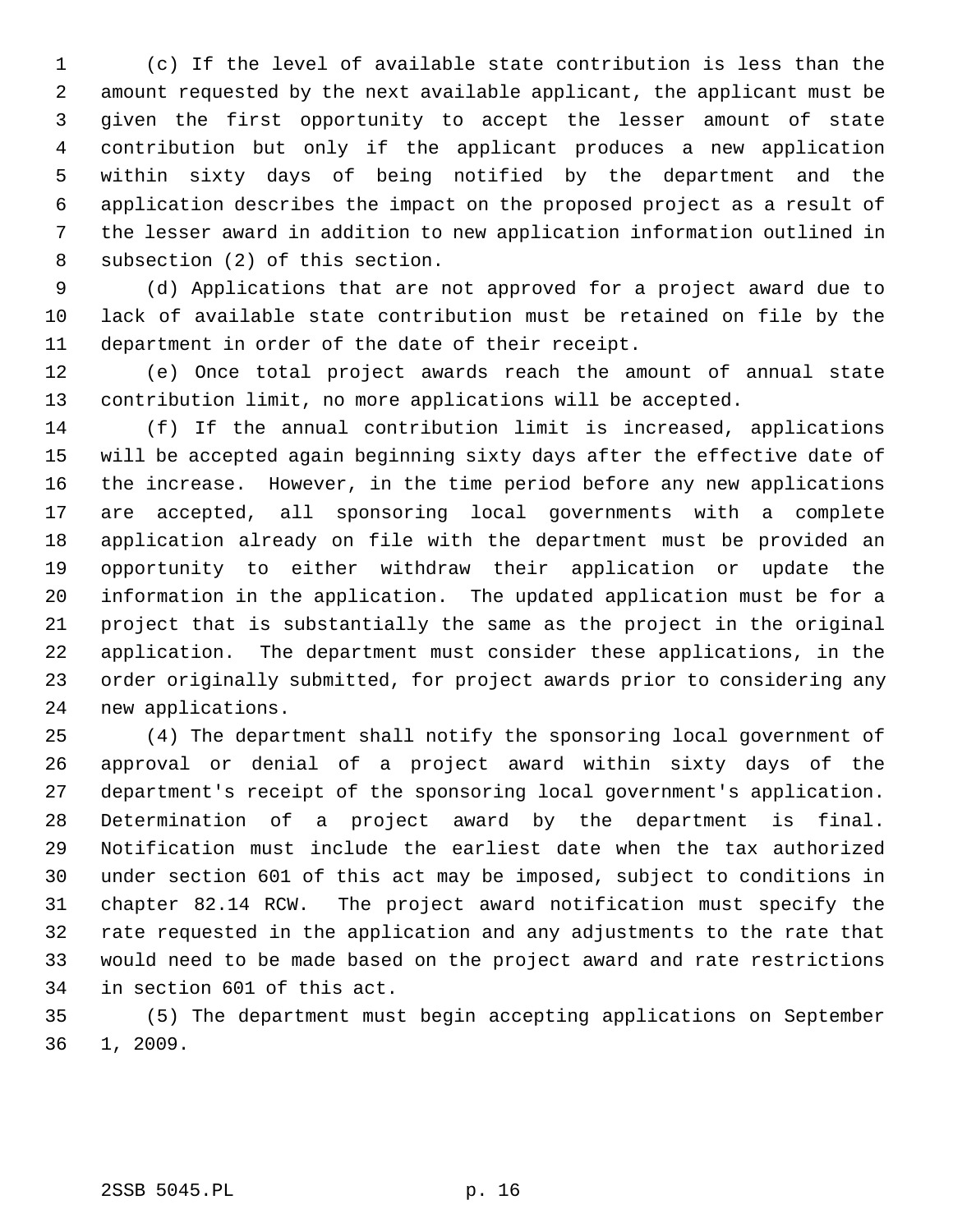1 (c) If the level of available state contribution is less than the 2 amount requested by the next available applicant, the applicant must be 3 given the first opportunity to accept the lesser amount of state 4 contribution but only if the applicant produces a new application 5 within sixty days of being notified by the department and the 6 application describes the impact on the proposed project as a result of 7 the lesser award in addition to new application information outlined in 8 subsection (2) of this section.

 9 (d) Applications that are not approved for a project award due to 10 lack of available state contribution must be retained on file by the 11 department in order of the date of their receipt.

12 (e) Once total project awards reach the amount of annual state 13 contribution limit, no more applications will be accepted.

14 (f) If the annual contribution limit is increased, applications 15 will be accepted again beginning sixty days after the effective date of 16 the increase. However, in the time period before any new applications 17 are accepted, all sponsoring local governments with a complete 18 application already on file with the department must be provided an 19 opportunity to either withdraw their application or update the 20 information in the application. The updated application must be for a 21 project that is substantially the same as the project in the original 22 application. The department must consider these applications, in the 23 order originally submitted, for project awards prior to considering any 24 new applications.

25 (4) The department shall notify the sponsoring local government of 26 approval or denial of a project award within sixty days of the 27 department's receipt of the sponsoring local government's application. 28 Determination of a project award by the department is final. 29 Notification must include the earliest date when the tax authorized 30 under section 601 of this act may be imposed, subject to conditions in 31 chapter 82.14 RCW. The project award notification must specify the 32 rate requested in the application and any adjustments to the rate that 33 would need to be made based on the project award and rate restrictions 34 in section 601 of this act.

35 (5) The department must begin accepting applications on September 36 1, 2009.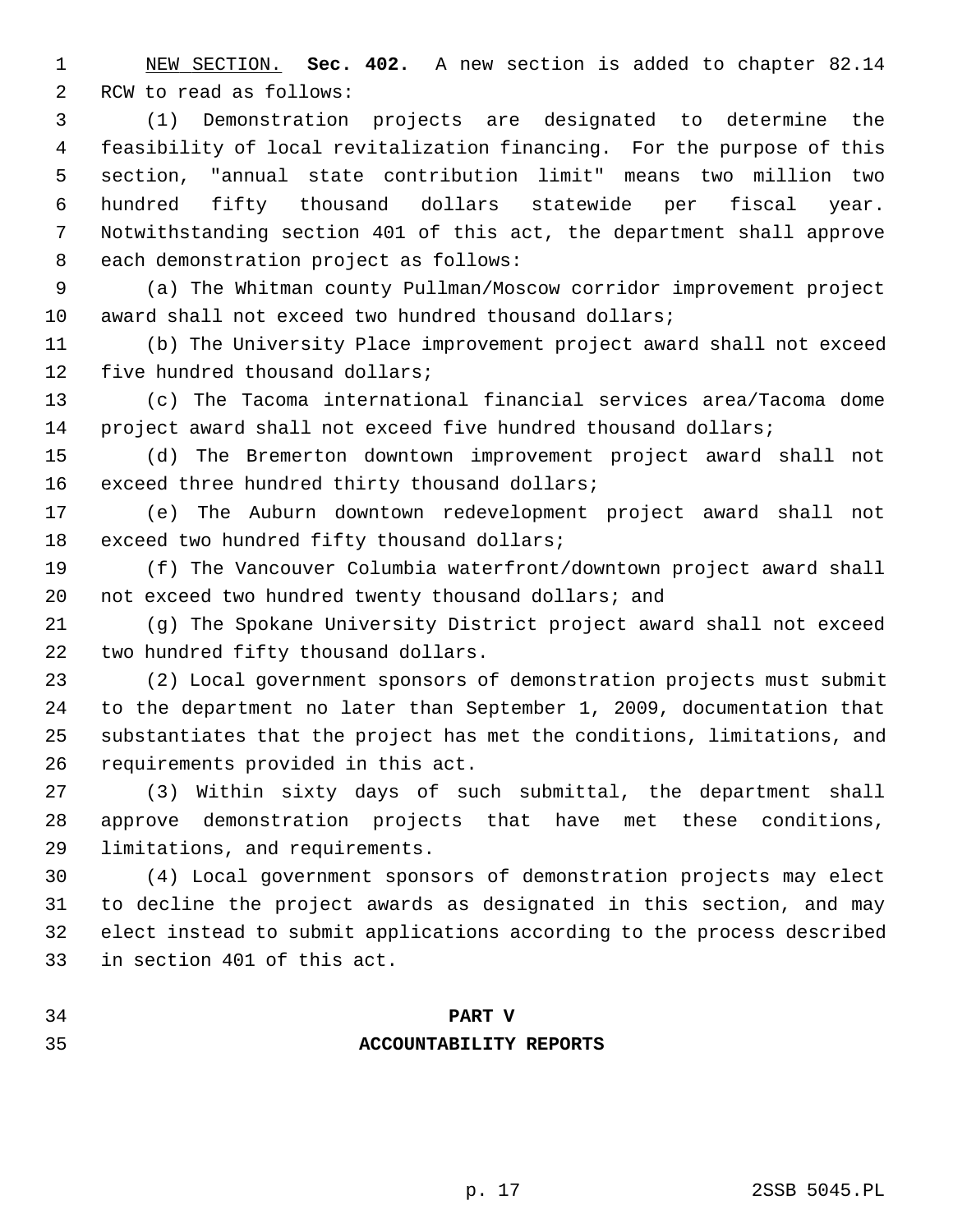1 NEW SECTION. **Sec. 402.** A new section is added to chapter 82.14 2 RCW to read as follows:

 3 (1) Demonstration projects are designated to determine the 4 feasibility of local revitalization financing. For the purpose of this 5 section, "annual state contribution limit" means two million two 6 hundred fifty thousand dollars statewide per fiscal year. 7 Notwithstanding section 401 of this act, the department shall approve 8 each demonstration project as follows:

 9 (a) The Whitman county Pullman/Moscow corridor improvement project 10 award shall not exceed two hundred thousand dollars;

11 (b) The University Place improvement project award shall not exceed 12 five hundred thousand dollars;

13 (c) The Tacoma international financial services area/Tacoma dome 14 project award shall not exceed five hundred thousand dollars;

15 (d) The Bremerton downtown improvement project award shall not 16 exceed three hundred thirty thousand dollars;

17 (e) The Auburn downtown redevelopment project award shall not 18 exceed two hundred fifty thousand dollars;

19 (f) The Vancouver Columbia waterfront/downtown project award shall 20 not exceed two hundred twenty thousand dollars; and

21 (g) The Spokane University District project award shall not exceed 22 two hundred fifty thousand dollars.

23 (2) Local government sponsors of demonstration projects must submit 24 to the department no later than September 1, 2009, documentation that 25 substantiates that the project has met the conditions, limitations, and 26 requirements provided in this act.

27 (3) Within sixty days of such submittal, the department shall 28 approve demonstration projects that have met these conditions, 29 limitations, and requirements.

30 (4) Local government sponsors of demonstration projects may elect 31 to decline the project awards as designated in this section, and may 32 elect instead to submit applications according to the process described 33 in section 401 of this act.

34 **PART V**

## 35 **ACCOUNTABILITY REPORTS**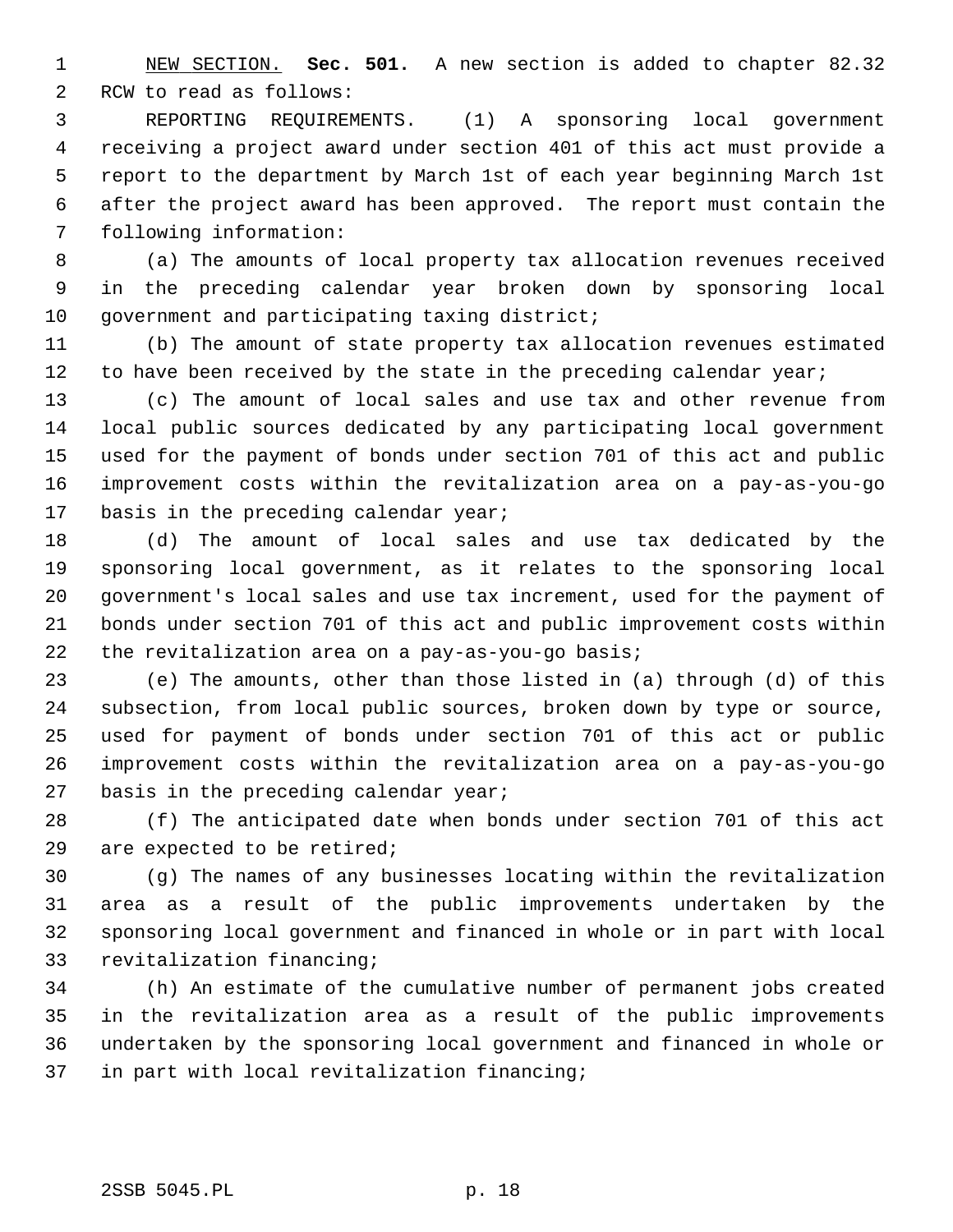1 NEW SECTION. **Sec. 501.** A new section is added to chapter 82.32 2 RCW to read as follows:

 3 REPORTING REQUIREMENTS. (1) A sponsoring local government 4 receiving a project award under section 401 of this act must provide a 5 report to the department by March 1st of each year beginning March 1st 6 after the project award has been approved. The report must contain the 7 following information:

 8 (a) The amounts of local property tax allocation revenues received 9 in the preceding calendar year broken down by sponsoring local 10 government and participating taxing district;

11 (b) The amount of state property tax allocation revenues estimated 12 to have been received by the state in the preceding calendar year;

13 (c) The amount of local sales and use tax and other revenue from 14 local public sources dedicated by any participating local government 15 used for the payment of bonds under section 701 of this act and public 16 improvement costs within the revitalization area on a pay-as-you-go 17 basis in the preceding calendar year;

18 (d) The amount of local sales and use tax dedicated by the 19 sponsoring local government, as it relates to the sponsoring local 20 government's local sales and use tax increment, used for the payment of 21 bonds under section 701 of this act and public improvement costs within 22 the revitalization area on a pay-as-you-go basis;

23 (e) The amounts, other than those listed in (a) through (d) of this 24 subsection, from local public sources, broken down by type or source, 25 used for payment of bonds under section 701 of this act or public 26 improvement costs within the revitalization area on a pay-as-you-go 27 basis in the preceding calendar year;

28 (f) The anticipated date when bonds under section 701 of this act 29 are expected to be retired;

30 (g) The names of any businesses locating within the revitalization 31 area as a result of the public improvements undertaken by the 32 sponsoring local government and financed in whole or in part with local 33 revitalization financing;

34 (h) An estimate of the cumulative number of permanent jobs created 35 in the revitalization area as a result of the public improvements 36 undertaken by the sponsoring local government and financed in whole or 37 in part with local revitalization financing;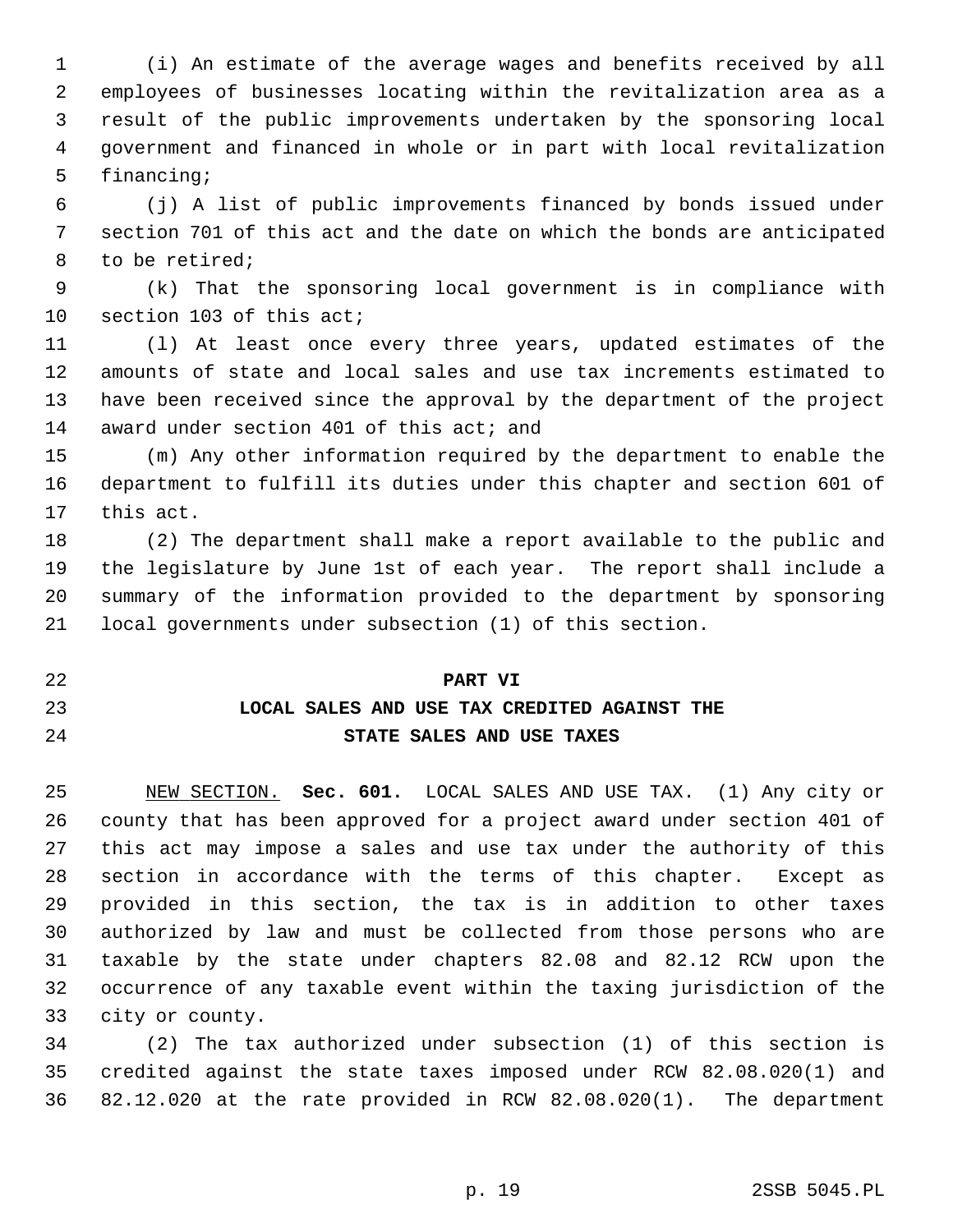1 (i) An estimate of the average wages and benefits received by all 2 employees of businesses locating within the revitalization area as a 3 result of the public improvements undertaken by the sponsoring local 4 government and financed in whole or in part with local revitalization 5 financing;

 6 (j) A list of public improvements financed by bonds issued under 7 section 701 of this act and the date on which the bonds are anticipated 8 to be retired;

 9 (k) That the sponsoring local government is in compliance with 10 section 103 of this act;

11 (l) At least once every three years, updated estimates of the 12 amounts of state and local sales and use tax increments estimated to 13 have been received since the approval by the department of the project 14 award under section 401 of this act; and

15 (m) Any other information required by the department to enable the 16 department to fulfill its duties under this chapter and section 601 of 17 this act.

18 (2) The department shall make a report available to the public and 19 the legislature by June 1st of each year. The report shall include a 20 summary of the information provided to the department by sponsoring 21 local governments under subsection (1) of this section.

# 22 **PART VI** 23 **LOCAL SALES AND USE TAX CREDITED AGAINST THE** 24 **STATE SALES AND USE TAXES**

25 NEW SECTION. **Sec. 601.** LOCAL SALES AND USE TAX. (1) Any city or 26 county that has been approved for a project award under section 401 of 27 this act may impose a sales and use tax under the authority of this 28 section in accordance with the terms of this chapter. Except as 29 provided in this section, the tax is in addition to other taxes 30 authorized by law and must be collected from those persons who are 31 taxable by the state under chapters 82.08 and 82.12 RCW upon the 32 occurrence of any taxable event within the taxing jurisdiction of the 33 city or county.

34 (2) The tax authorized under subsection (1) of this section is 35 credited against the state taxes imposed under RCW 82.08.020(1) and 36 82.12.020 at the rate provided in RCW 82.08.020(1). The department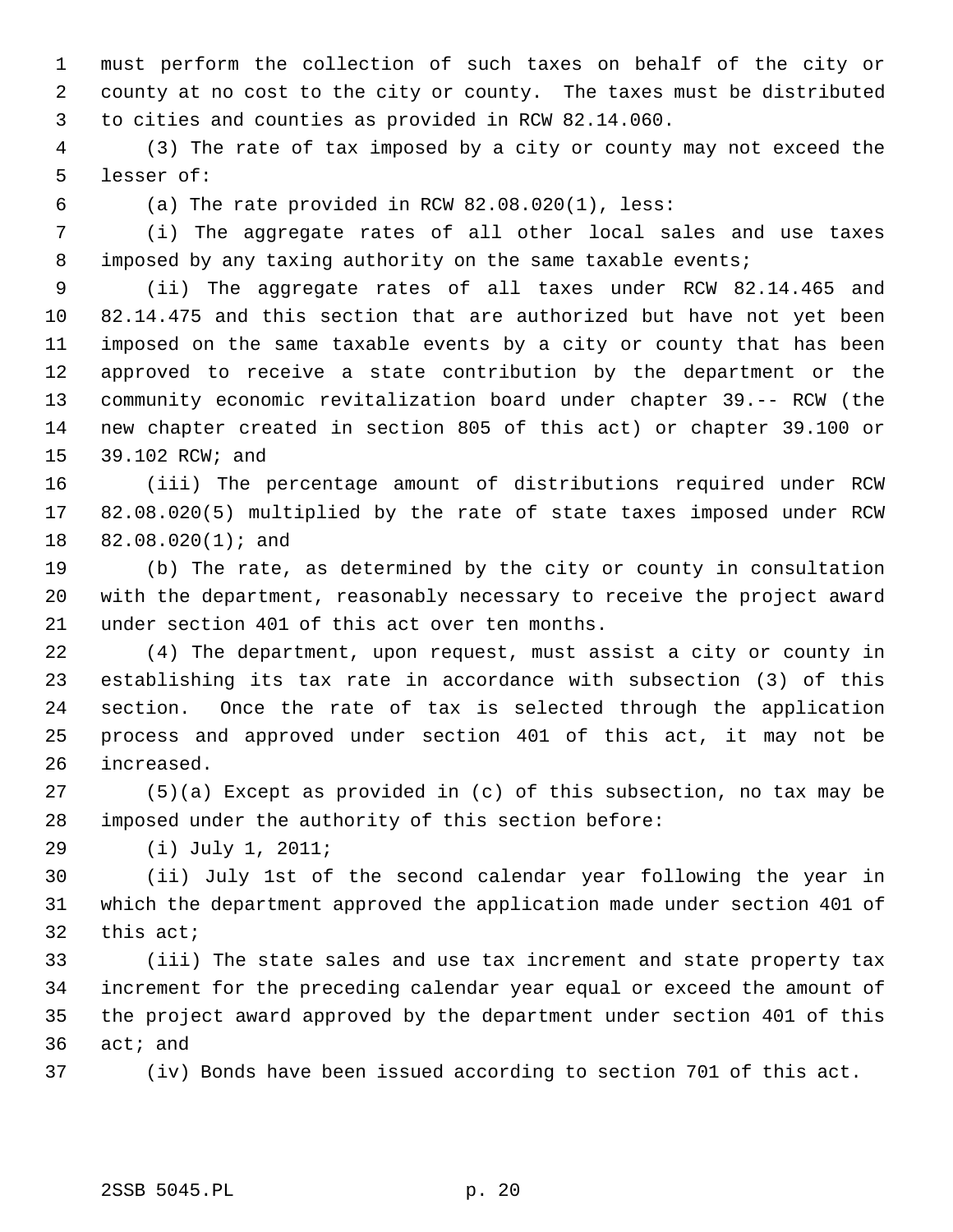1 must perform the collection of such taxes on behalf of the city or 2 county at no cost to the city or county. The taxes must be distributed 3 to cities and counties as provided in RCW 82.14.060.

 4 (3) The rate of tax imposed by a city or county may not exceed the 5 lesser of:

6 (a) The rate provided in RCW 82.08.020(1), less:

 7 (i) The aggregate rates of all other local sales and use taxes 8 imposed by any taxing authority on the same taxable events;

 9 (ii) The aggregate rates of all taxes under RCW 82.14.465 and 10 82.14.475 and this section that are authorized but have not yet been 11 imposed on the same taxable events by a city or county that has been 12 approved to receive a state contribution by the department or the 13 community economic revitalization board under chapter 39.-- RCW (the 14 new chapter created in section 805 of this act) or chapter 39.100 or 15 39.102 RCW; and

16 (iii) The percentage amount of distributions required under RCW 17 82.08.020(5) multiplied by the rate of state taxes imposed under RCW 18 82.08.020(1); and

19 (b) The rate, as determined by the city or county in consultation 20 with the department, reasonably necessary to receive the project award 21 under section 401 of this act over ten months.

22 (4) The department, upon request, must assist a city or county in 23 establishing its tax rate in accordance with subsection (3) of this 24 section. Once the rate of tax is selected through the application 25 process and approved under section 401 of this act, it may not be 26 increased.

27 (5)(a) Except as provided in (c) of this subsection, no tax may be 28 imposed under the authority of this section before:

29 (i) July 1, 2011;

30 (ii) July 1st of the second calendar year following the year in 31 which the department approved the application made under section 401 of 32 this act;

33 (iii) The state sales and use tax increment and state property tax 34 increment for the preceding calendar year equal or exceed the amount of 35 the project award approved by the department under section 401 of this 36 act; and

37 (iv) Bonds have been issued according to section 701 of this act.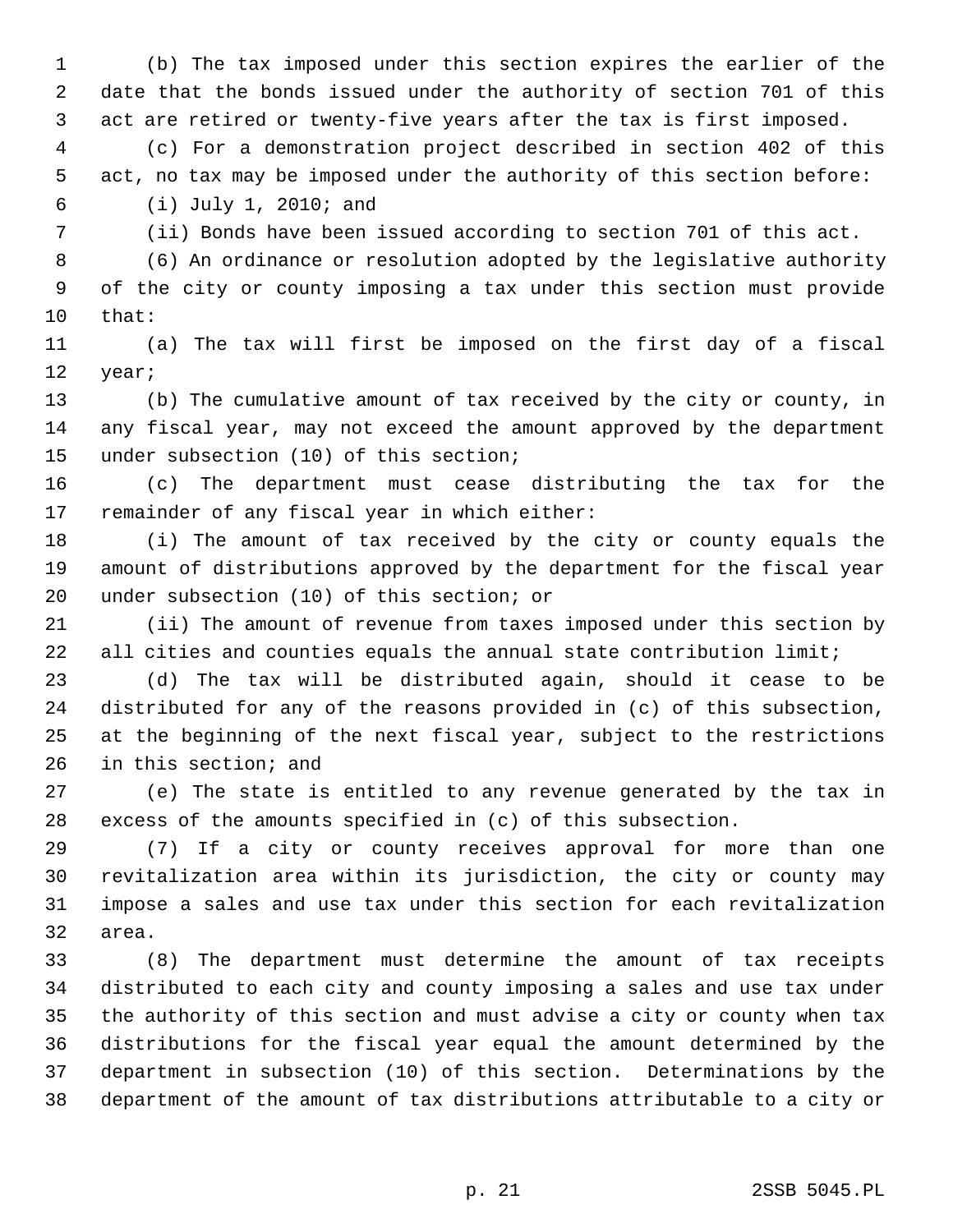1 (b) The tax imposed under this section expires the earlier of the 2 date that the bonds issued under the authority of section 701 of this 3 act are retired or twenty-five years after the tax is first imposed.

 4 (c) For a demonstration project described in section 402 of this 5 act, no tax may be imposed under the authority of this section before: 6 (i) July 1, 2010; and

7 (ii) Bonds have been issued according to section 701 of this act.

 8 (6) An ordinance or resolution adopted by the legislative authority 9 of the city or county imposing a tax under this section must provide 10 that:

11 (a) The tax will first be imposed on the first day of a fiscal 12 year;

13 (b) The cumulative amount of tax received by the city or county, in 14 any fiscal year, may not exceed the amount approved by the department 15 under subsection (10) of this section;

16 (c) The department must cease distributing the tax for the 17 remainder of any fiscal year in which either:

18 (i) The amount of tax received by the city or county equals the 19 amount of distributions approved by the department for the fiscal year 20 under subsection (10) of this section; or

21 (ii) The amount of revenue from taxes imposed under this section by 22 all cities and counties equals the annual state contribution limit;

23 (d) The tax will be distributed again, should it cease to be 24 distributed for any of the reasons provided in (c) of this subsection, 25 at the beginning of the next fiscal year, subject to the restrictions 26 in this section; and

27 (e) The state is entitled to any revenue generated by the tax in 28 excess of the amounts specified in (c) of this subsection.

29 (7) If a city or county receives approval for more than one 30 revitalization area within its jurisdiction, the city or county may 31 impose a sales and use tax under this section for each revitalization 32 area.

33 (8) The department must determine the amount of tax receipts 34 distributed to each city and county imposing a sales and use tax under 35 the authority of this section and must advise a city or county when tax 36 distributions for the fiscal year equal the amount determined by the 37 department in subsection (10) of this section. Determinations by the 38 department of the amount of tax distributions attributable to a city or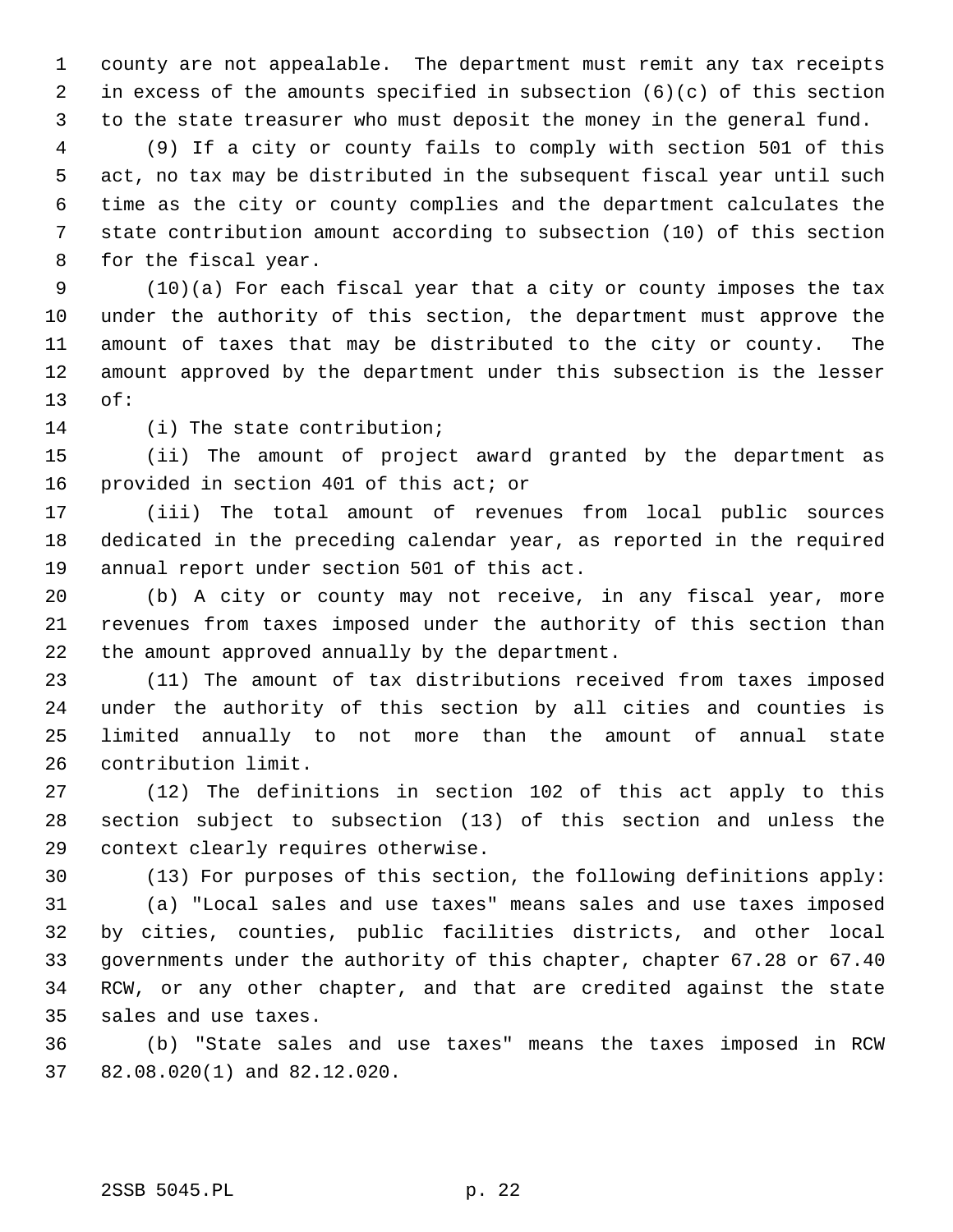1 county are not appealable. The department must remit any tax receipts 2 in excess of the amounts specified in subsection (6)(c) of this section 3 to the state treasurer who must deposit the money in the general fund.

 4 (9) If a city or county fails to comply with section 501 of this 5 act, no tax may be distributed in the subsequent fiscal year until such 6 time as the city or county complies and the department calculates the 7 state contribution amount according to subsection (10) of this section 8 for the fiscal year.

 9 (10)(a) For each fiscal year that a city or county imposes the tax 10 under the authority of this section, the department must approve the 11 amount of taxes that may be distributed to the city or county. The 12 amount approved by the department under this subsection is the lesser 13 of:

14 (i) The state contribution;

15 (ii) The amount of project award granted by the department as 16 provided in section 401 of this act; or

17 (iii) The total amount of revenues from local public sources 18 dedicated in the preceding calendar year, as reported in the required 19 annual report under section 501 of this act.

20 (b) A city or county may not receive, in any fiscal year, more 21 revenues from taxes imposed under the authority of this section than 22 the amount approved annually by the department.

23 (11) The amount of tax distributions received from taxes imposed 24 under the authority of this section by all cities and counties is 25 limited annually to not more than the amount of annual state 26 contribution limit.

27 (12) The definitions in section 102 of this act apply to this 28 section subject to subsection (13) of this section and unless the 29 context clearly requires otherwise.

30 (13) For purposes of this section, the following definitions apply:

31 (a) "Local sales and use taxes" means sales and use taxes imposed 32 by cities, counties, public facilities districts, and other local 33 governments under the authority of this chapter, chapter 67.28 or 67.40 34 RCW, or any other chapter, and that are credited against the state 35 sales and use taxes.

36 (b) "State sales and use taxes" means the taxes imposed in RCW 37 82.08.020(1) and 82.12.020.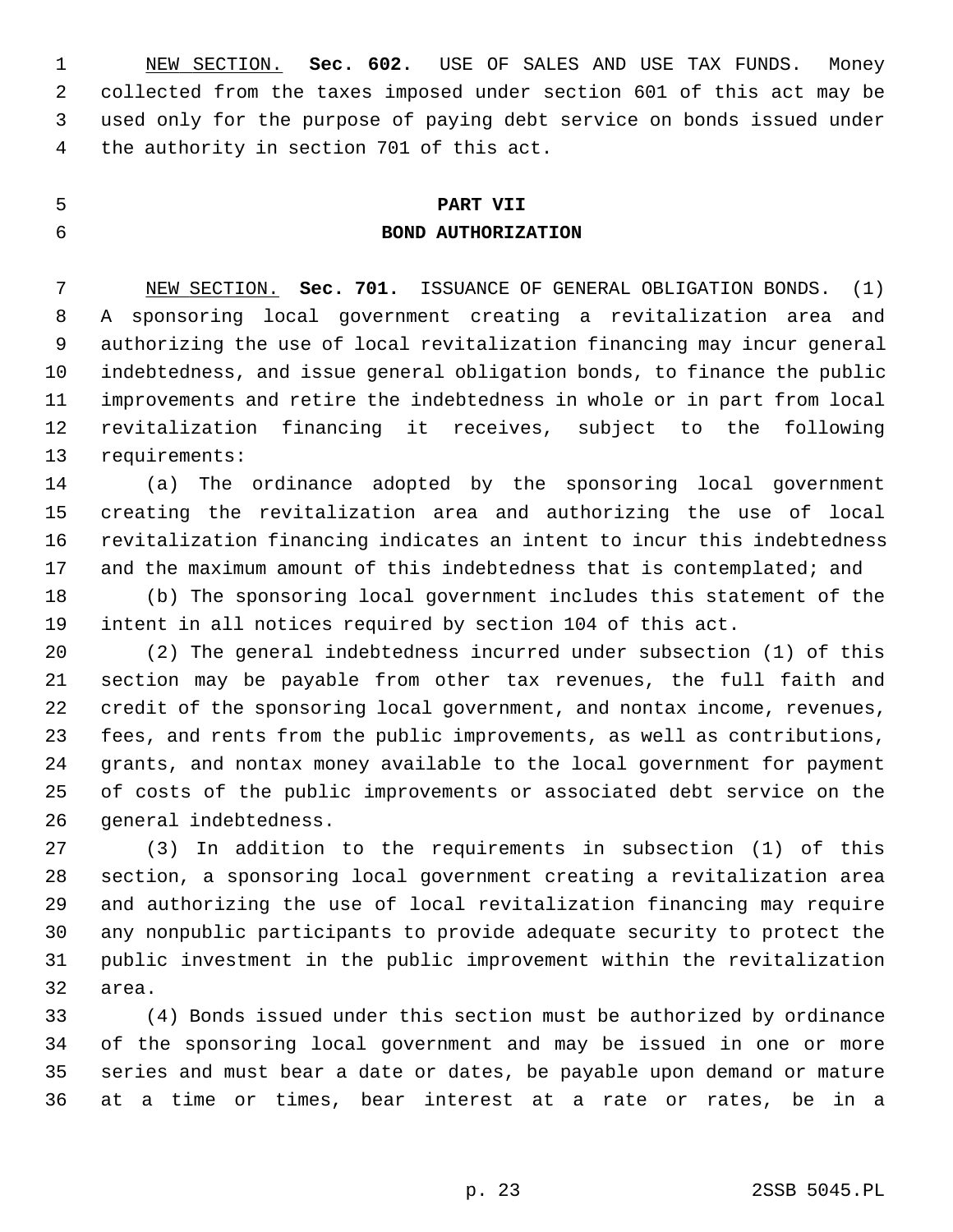1 NEW SECTION. **Sec. 602.** USE OF SALES AND USE TAX FUNDS. Money 2 collected from the taxes imposed under section 601 of this act may be 3 used only for the purpose of paying debt service on bonds issued under 4 the authority in section 701 of this act.

## 5 **PART VII**

## 6 **BOND AUTHORIZATION**

 7 NEW SECTION. **Sec. 701.** ISSUANCE OF GENERAL OBLIGATION BONDS. (1) 8 A sponsoring local government creating a revitalization area and 9 authorizing the use of local revitalization financing may incur general 10 indebtedness, and issue general obligation bonds, to finance the public 11 improvements and retire the indebtedness in whole or in part from local 12 revitalization financing it receives, subject to the following 13 requirements:

14 (a) The ordinance adopted by the sponsoring local government 15 creating the revitalization area and authorizing the use of local 16 revitalization financing indicates an intent to incur this indebtedness 17 and the maximum amount of this indebtedness that is contemplated; and

18 (b) The sponsoring local government includes this statement of the 19 intent in all notices required by section 104 of this act.

20 (2) The general indebtedness incurred under subsection (1) of this 21 section may be payable from other tax revenues, the full faith and 22 credit of the sponsoring local government, and nontax income, revenues, 23 fees, and rents from the public improvements, as well as contributions, 24 grants, and nontax money available to the local government for payment 25 of costs of the public improvements or associated debt service on the 26 general indebtedness.

27 (3) In addition to the requirements in subsection (1) of this 28 section, a sponsoring local government creating a revitalization area 29 and authorizing the use of local revitalization financing may require 30 any nonpublic participants to provide adequate security to protect the 31 public investment in the public improvement within the revitalization 32 area.

33 (4) Bonds issued under this section must be authorized by ordinance 34 of the sponsoring local government and may be issued in one or more 35 series and must bear a date or dates, be payable upon demand or mature 36 at a time or times, bear interest at a rate or rates, be in a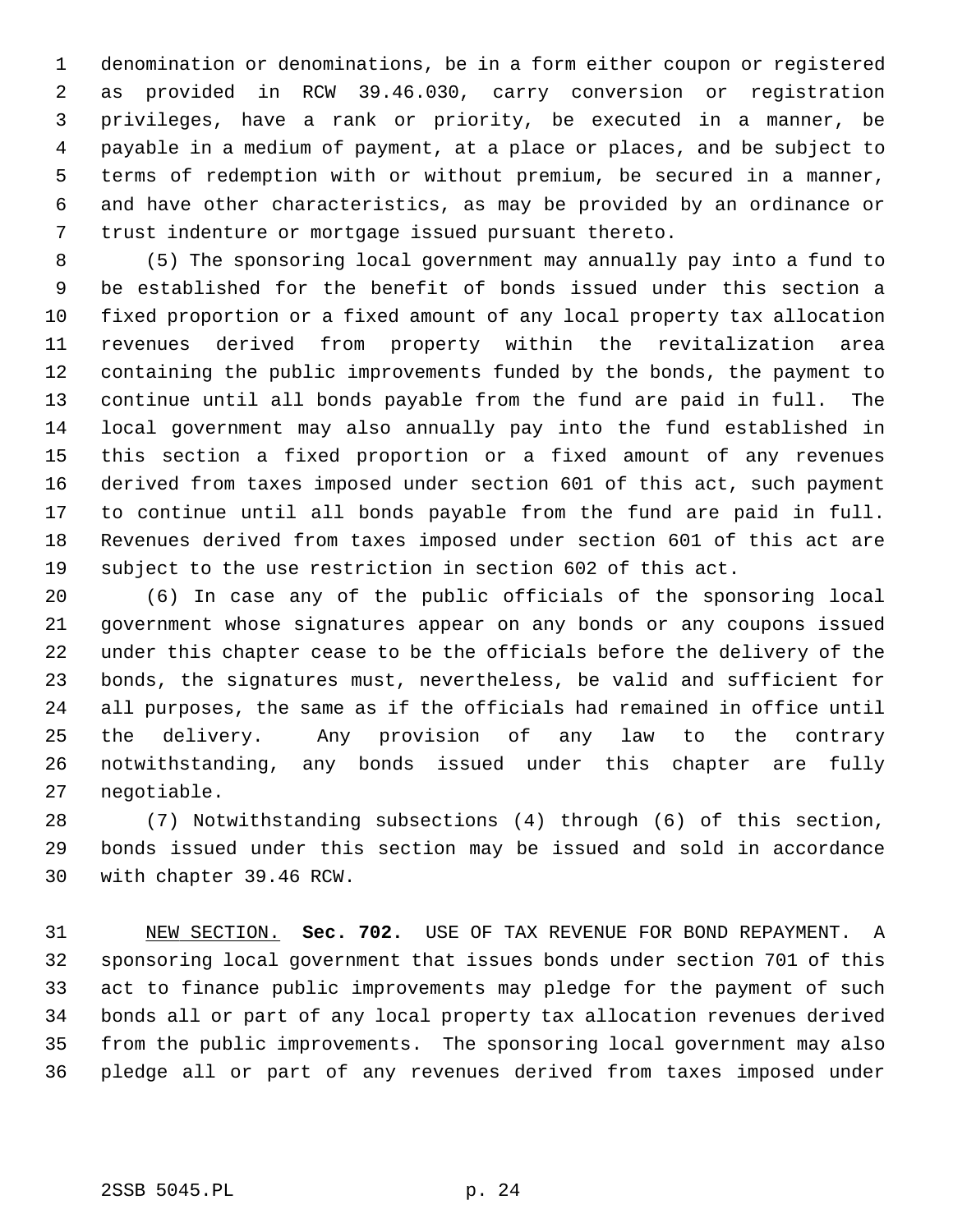1 denomination or denominations, be in a form either coupon or registered 2 as provided in RCW 39.46.030, carry conversion or registration 3 privileges, have a rank or priority, be executed in a manner, be 4 payable in a medium of payment, at a place or places, and be subject to 5 terms of redemption with or without premium, be secured in a manner, 6 and have other characteristics, as may be provided by an ordinance or 7 trust indenture or mortgage issued pursuant thereto.

 8 (5) The sponsoring local government may annually pay into a fund to 9 be established for the benefit of bonds issued under this section a 10 fixed proportion or a fixed amount of any local property tax allocation 11 revenues derived from property within the revitalization area 12 containing the public improvements funded by the bonds, the payment to 13 continue until all bonds payable from the fund are paid in full. The 14 local government may also annually pay into the fund established in 15 this section a fixed proportion or a fixed amount of any revenues 16 derived from taxes imposed under section 601 of this act, such payment 17 to continue until all bonds payable from the fund are paid in full. 18 Revenues derived from taxes imposed under section 601 of this act are 19 subject to the use restriction in section 602 of this act.

20 (6) In case any of the public officials of the sponsoring local 21 government whose signatures appear on any bonds or any coupons issued 22 under this chapter cease to be the officials before the delivery of the 23 bonds, the signatures must, nevertheless, be valid and sufficient for 24 all purposes, the same as if the officials had remained in office until 25 the delivery. Any provision of any law to the contrary 26 notwithstanding, any bonds issued under this chapter are fully 27 negotiable.

28 (7) Notwithstanding subsections (4) through (6) of this section, 29 bonds issued under this section may be issued and sold in accordance 30 with chapter 39.46 RCW.

31 NEW SECTION. **Sec. 702.** USE OF TAX REVENUE FOR BOND REPAYMENT. A 32 sponsoring local government that issues bonds under section 701 of this 33 act to finance public improvements may pledge for the payment of such 34 bonds all or part of any local property tax allocation revenues derived 35 from the public improvements. The sponsoring local government may also 36 pledge all or part of any revenues derived from taxes imposed under